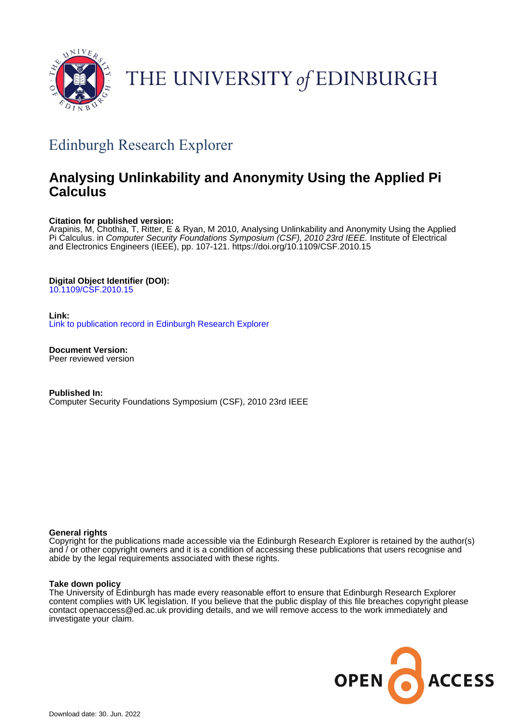

# THE UNIVERSITY of EDINBURGH

## Edinburgh Research Explorer

## **Analysing Unlinkability and Anonymity Using the Applied Pi Calculus**

## **Citation for published version:**

Arapinis, M, Chothia, T, Ritter, E & Ryan, M 2010, Analysing Unlinkability and Anonymity Using the Applied Pi Calculus. in Computer Security Foundations Symposium (CSF), 2010 23rd IEEE. Institute of Electrical and Electronics Engineers (IEEE), pp. 107-121. <https://doi.org/10.1109/CSF.2010.15>

## **Digital Object Identifier (DOI):**

[10.1109/CSF.2010.15](https://doi.org/10.1109/CSF.2010.15)

## **Link:**

[Link to publication record in Edinburgh Research Explorer](https://www.research.ed.ac.uk/en/publications/79166b62-4f4c-4097-b9b8-87f3aa3f1a6f)

**Document Version:** Peer reviewed version

**Published In:** Computer Security Foundations Symposium (CSF), 2010 23rd IEEE

### **General rights**

Copyright for the publications made accessible via the Edinburgh Research Explorer is retained by the author(s) and / or other copyright owners and it is a condition of accessing these publications that users recognise and abide by the legal requirements associated with these rights.

### **Take down policy**

The University of Edinburgh has made every reasonable effort to ensure that Edinburgh Research Explorer content complies with UK legislation. If you believe that the public display of this file breaches copyright please contact openaccess@ed.ac.uk providing details, and we will remove access to the work immediately and investigate your claim.

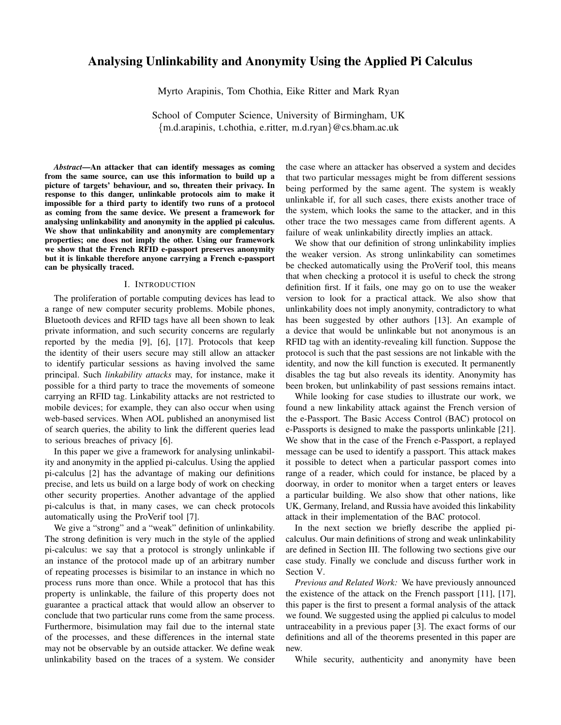## Analysing Unlinkability and Anonymity Using the Applied Pi Calculus

Myrto Arapinis, Tom Chothia, Eike Ritter and Mark Ryan

School of Computer Science, University of Birmingham, UK {m.d.arapinis, t.chothia, e.ritter, m.d.ryan}@cs.bham.ac.uk

*Abstract*—An attacker that can identify messages as coming from the same source, can use this information to build up a picture of targets' behaviour, and so, threaten their privacy. In response to this danger, unlinkable protocols aim to make it impossible for a third party to identify two runs of a protocol as coming from the same device. We present a framework for analysing unlinkability and anonymity in the applied pi calculus. We show that unlinkability and anonymity are complementary properties; one does not imply the other. Using our framework we show that the French RFID e-passport preserves anonymity but it is linkable therefore anyone carrying a French e-passport can be physically traced.

#### I. INTRODUCTION

The proliferation of portable computing devices has lead to a range of new computer security problems. Mobile phones, Bluetooth devices and RFID tags have all been shown to leak private information, and such security concerns are regularly reported by the media [9], [6], [17]. Protocols that keep the identity of their users secure may still allow an attacker to identify particular sessions as having involved the same principal. Such *linkability attacks* may, for instance, make it possible for a third party to trace the movements of someone carrying an RFID tag. Linkability attacks are not restricted to mobile devices; for example, they can also occur when using web-based services. When AOL published an anonymised list of search queries, the ability to link the different queries lead to serious breaches of privacy [6].

In this paper we give a framework for analysing unlinkability and anonymity in the applied pi-calculus. Using the applied pi-calculus [2] has the advantage of making our definitions precise, and lets us build on a large body of work on checking other security properties. Another advantage of the applied pi-calculus is that, in many cases, we can check protocols automatically using the ProVerif tool [7].

We give a "strong" and a "weak" definition of unlinkability. The strong definition is very much in the style of the applied pi-calculus: we say that a protocol is strongly unlinkable if an instance of the protocol made up of an arbitrary number of repeating processes is bisimilar to an instance in which no process runs more than once. While a protocol that has this property is unlinkable, the failure of this property does not guarantee a practical attack that would allow an observer to conclude that two particular runs come from the same process. Furthermore, bisimulation may fail due to the internal state of the processes, and these differences in the internal state may not be observable by an outside attacker. We define weak unlinkability based on the traces of a system. We consider

the case where an attacker has observed a system and decides that two particular messages might be from different sessions being performed by the same agent. The system is weakly unlinkable if, for all such cases, there exists another trace of the system, which looks the same to the attacker, and in this other trace the two messages came from different agents. A failure of weak unlinkability directly implies an attack.

We show that our definition of strong unlinkability implies the weaker version. As strong unlinkability can sometimes be checked automatically using the ProVerif tool, this means that when checking a protocol it is useful to check the strong definition first. If it fails, one may go on to use the weaker version to look for a practical attack. We also show that unlinkability does not imply anonymity, contradictory to what has been suggested by other authors [13]. An example of a device that would be unlinkable but not anonymous is an RFID tag with an identity-revealing kill function. Suppose the protocol is such that the past sessions are not linkable with the identity, and now the kill function is executed. It permanently disables the tag but also reveals its identity. Anonymity has been broken, but unlinkability of past sessions remains intact.

While looking for case studies to illustrate our work, we found a new linkability attack against the French version of the e-Passport. The Basic Access Control (BAC) protocol on e-Passports is designed to make the passports unlinkable [21]. We show that in the case of the French e-Passport, a replayed message can be used to identify a passport. This attack makes it possible to detect when a particular passport comes into range of a reader, which could for instance, be placed by a doorway, in order to monitor when a target enters or leaves a particular building. We also show that other nations, like UK, Germany, Ireland, and Russia have avoided this linkability attack in their implementation of the BAC protocol.

In the next section we briefly describe the applied picalculus. Our main definitions of strong and weak unlinkability are defined in Section III. The following two sections give our case study. Finally we conclude and discuss further work in Section V.

*Previous and Related Work:* We have previously announced the existence of the attack on the French passport [11], [17], this paper is the first to present a formal analysis of the attack we found. We suggested using the applied pi calculus to model untraceability in a previous paper [3]. The exact forms of our definitions and all of the theorems presented in this paper are new.

While security, authenticity and anonymity have been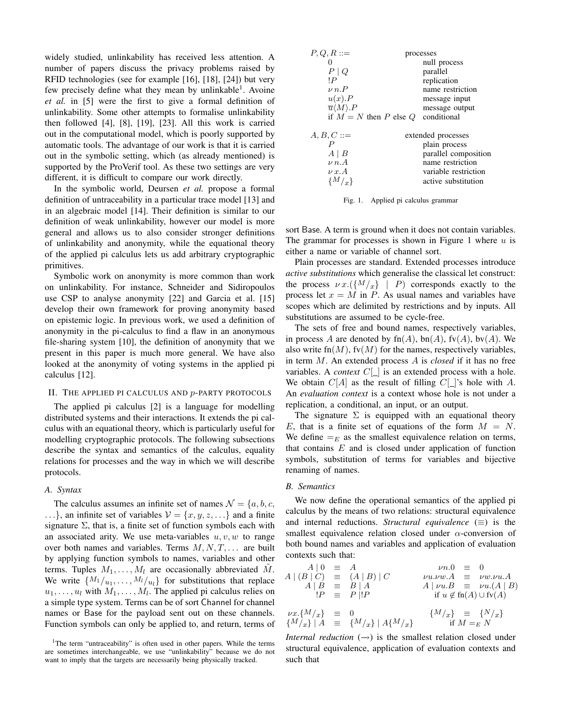widely studied, unlinkability has received less attention. A number of papers discuss the privacy problems raised by RFID technologies (see for example [16], [18], [24]) but very few precisely define what they mean by unlinkable<sup>1</sup>. Avoine *et al.* in [5] were the first to give a formal definition of unlinkability. Some other attempts to formalise unlinkability then followed [4], [8], [19], [23]. All this work is carried out in the computational model, which is poorly supported by automatic tools. The advantage of our work is that it is carried out in the symbolic setting, which (as already mentioned) is supported by the ProVerif tool. As these two settings are very different, it is difficult to compare our work directly.

In the symbolic world, Deursen *et al.* propose a formal definition of untraceability in a particular trace model [13] and in an algebraic model [14]. Their definition is similar to our definition of weak unlinkability, however our model is more general and allows us to also consider stronger definitions of unlinkability and anonymity, while the equational theory of the applied pi calculus lets us add arbitrary cryptographic primitives.

Symbolic work on anonymity is more common than work on unlinkability. For instance, Schneider and Sidiropoulos use CSP to analyse anonymity [22] and Garcia et al. [15] develop their own framework for proving anonymity based on epistemic logic. In previous work, we used a definition of anonymity in the pi-calculus to find a flaw in an anonymous file-sharing system [10], the definition of anonymity that we present in this paper is much more general. We have also looked at the anonymity of voting systems in the applied pi calculus [12].

#### II. THE APPLIED PI CALCULUS AND p-PARTY PROTOCOLS

The applied pi calculus [2] is a language for modelling distributed systems and their interactions. It extends the pi calculus with an equational theory, which is particularly useful for modelling cryptographic protocols. The following subsections describe the syntax and semantics of the calculus, equality relations for processes and the way in which we will describe protocols.

#### *A. Syntax*

The calculus assumes an infinite set of names  $\mathcal{N} = \{a, b, c, c, d\}$ ...}, an infinite set of variables  $V = \{x, y, z, ...\}$  and a finite signature  $\Sigma$ , that is, a finite set of function symbols each with an associated arity. We use meta-variables  $u, v, w$  to range over both names and variables. Terms  $M, N, T, \ldots$  are built by applying function symbols to names, variables and other terms. Tuples  $M_1, \ldots, M_l$  are occasionally abbreviated M. We write  $\{M_1/_{u_1}, \ldots, M_l/_{u_l}\}$  for substitutions that replace  $u_1, \ldots, u_l$  with  $M_1, \ldots, M_l$ . The applied pi calculus relies on a simple type system. Terms can be of sort Channel for channel names or Base for the payload sent out on these channels. Function symbols can only be applied to, and return, terms of

| $P,Q,R ::=$                      | processes            |
|----------------------------------|----------------------|
|                                  | null process         |
| $P \mid Q$                       | parallel             |
| ١P                               | replication          |
| $\nu n.P$                        | name restriction     |
| $u(x)$ . $P$                     | message input        |
| $\overline{u}\langle M\rangle.P$ | message output       |
| if $M = N$ then P else Q         | conditional          |
| $A, B, C ::=$                    | extended processes   |
|                                  | plain process        |
| $A \mid B$                       | parallel composition |
| $\nu$ n.A                        | name restriction     |
| $\nu x. A$                       | variable restriction |
| $\{M/_{x}\}\$                    | active substitution  |
|                                  |                      |

Fig. 1. Applied pi calculus grammar

sort Base. A term is ground when it does not contain variables. The grammar for processes is shown in Figure 1 where  $u$  is either a name or variable of channel sort.

Plain processes are standard. Extended processes introduce *active substitutions* which generalise the classical let construct: the process  $\nu x.({M/x} \mid P)$  corresponds exactly to the process let  $x = M$  in P. As usual names and variables have scopes which are delimited by restrictions and by inputs. All substitutions are assumed to be cycle-free.

The sets of free and bound names, respectively variables, in process A are denoted by  $fn(A)$ ,  $bn(A)$ ,  $fv(A)$ ,  $bv(A)$ . We also write fn $(M)$ , fv $(M)$  for the names, respectively variables, in term M. An extended process A is *closed* if it has no free variables. A *context*  $C[\_]$  is an extended process with a hole. We obtain  $C[A]$  as the result of filling  $C[\ ]$ 's hole with A. An *evaluation context* is a context whose hole is not under a replication, a conditional, an input, or an output.

The signature  $\Sigma$  is equipped with an equational theory E, that is a finite set of equations of the form  $M = N$ . We define  $=_E$  as the smallest equivalence relation on terms, that contains  $E$  and is closed under application of function symbols, substitution of terms for variables and bijective renaming of names.

#### *B. Semantics*

We now define the operational semantics of the applied pi calculus by the means of two relations: structural equivalence and internal reductions. *Structural equivalence* ( $\equiv$ ) is the smallest equivalence relation closed under  $\alpha$ -conversion of both bound names and variables and application of evaluation contexts such that:

$$
A \mid 0 \equiv A
$$
  
\n
$$
A \mid (B \mid C) \equiv (A \mid B) \mid C
$$
  
\n
$$
A \mid B \equiv B \mid A
$$
  
\n
$$
P \equiv P \mid P
$$
  
\n
$$
yu.vw.A \equiv vw.vu.A
$$
  
\n
$$
A \mid vu.B \equiv vu.(A \mid B)
$$
  
\n
$$
u.u. \equiv vu.u.A
$$
  
\n
$$
A \mid vu.B \equiv vu.(A \mid B)
$$
  
\nif  $u \notin f(n/A) \cup f(v/A)$   
\n
$$
\{M/x\} \equiv \{N/x\}
$$
  
\nif  $M = E N$ 

*Internal reduction*  $(\rightarrow)$  is the smallest relation closed under structural equivalence, application of evaluation contexts and such that

<sup>&</sup>lt;sup>1</sup>The term "untraceability" is often used in other papers. While the terms are sometimes interchangeable, we use "unlinkability" because we do not want to imply that the targets are necessarily being physically tracked.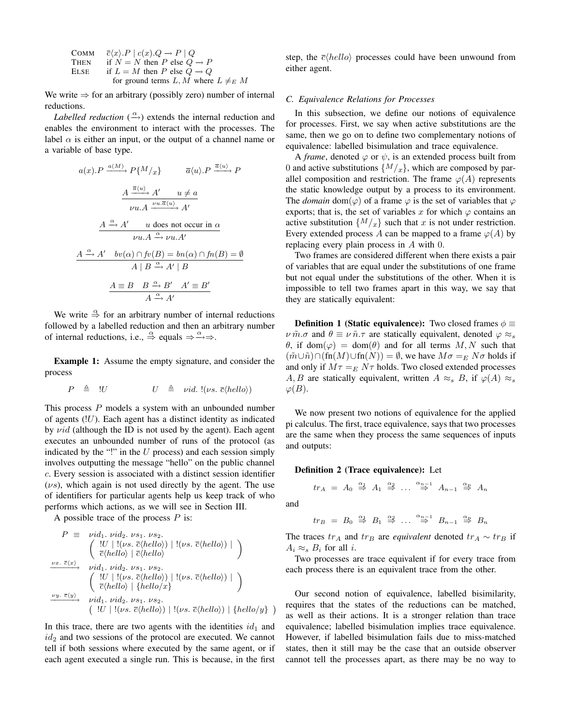| Сомм        | $\overline{c}\langle x\rangle.P \mid c(x).Q \rightarrow P \mid Q$ |
|-------------|-------------------------------------------------------------------|
| <b>THEN</b> | if $N = N$ then P else $Q \rightarrow P$                          |
| Else        | if $L = M$ then P else $Q \rightarrow Q$                          |
|             | for ground terms L, M where $L \neq_{E} M$                        |

We write  $\Rightarrow$  for an arbitrary (possibly zero) number of internal reductions.

*Labelled reduction*  $(\stackrel{\alpha}{\longrightarrow})$  extends the internal reduction and enables the environment to interact with the processes. The label  $\alpha$  is either an input, or the output of a channel name or a variable of base type.

$$
a(x).P \xrightarrow{\underline{a(M)}} P\{M/x\} \qquad \overline{a}\langle u \rangle.P \xrightarrow{\overline{a}\langle u \rangle} P
$$

$$
\xrightarrow{\underline{A} \xrightarrow{\underline{a}(u)} \underline{A'} \qquad u \neq \underline{a}} \qquad \qquad \nu u.A \xrightarrow{\nu u.\overline{a}\langle u \rangle} A'
$$

$$
\xrightarrow{\underline{A} \xrightarrow{\alpha} \underline{A'} \qquad u \text{ does not occur in } \alpha} \qquad \nu u.A \xrightarrow{\alpha} \nu u.A'
$$

$$
\xrightarrow{\underline{A} \xrightarrow{\alpha} \underline{A'} \qquad bv(\alpha) \cap fv(B) = bn(\alpha) \cap fn(B) = \emptyset} \qquad \qquad \overline{A \mid B \xrightarrow{\alpha} \underline{A'} \mid B}
$$

$$
\xrightarrow{\underline{A} \equiv B \qquad B \xrightarrow{\alpha} B' \qquad A' \equiv B' \qquad \qquad \overline{A \xrightarrow{\alpha} A'}
$$

We write  $\stackrel{\alpha}{\Rightarrow}$  for an arbitrary number of internal reductions followed by a labelled reduction and then an arbitrary number of internal reductions, i.e.,  $\stackrel{\alpha}{\Rightarrow}$  equals  $\Rightarrow \stackrel{\alpha}{\Rightarrow} \Rightarrow$ .

Example 1: Assume the empty signature, and consider the process

$$
P \triangleq \big| U \qquad U \triangleq \text{ vid. } \big| (\nu s. \overline{c} \langle \text{hello} \rangle) \big|
$$

This process  $P$  models a system with an unbounded number of agents  $(!U)$ . Each agent has a distinct identity as indicated by  $vid$  (although the ID is not used by the agent). Each agent executes an unbounded number of runs of the protocol (as indicated by the "!" in the  $U$  process) and each session simply involves outputting the message "hello" on the public channel c. Every session is associated with a distinct session identifier  $(\nu s)$ , which again is not used directly by the agent. The use of identifiers for particular agents help us keep track of who performs which actions, as we will see in Section III.

A possible trace of the process  $P$  is:

$$
P \equiv \text{ vid}_1. \text{ vid}_2. \text{ vs}_1. \text{ vs}_2. \\
 \begin{pmatrix} |U| | \langle \nu s. \overline{c} \langle \text{hello} \rangle \rangle | \langle \nu s. \overline{c} \langle \text{hello} \rangle \rangle | \\ \overline{c} \langle \text{hello} \rangle | \overline{c} \langle \text{hello} \rangle \end{pmatrix}
$$
\n
$$
\begin{pmatrix} \frac{\nu x. \overline{c} \langle x \rangle}{\overline{c} \langle x \rangle} & \text{vid}_1. \text{ vid}_2. \text{ vs}_1. \text{ vs}_2. \\
 \frac{\nu x. \overline{c} \langle x \rangle}{\overline{c} \langle \text{hello} \rangle | \langle \text{total} \rangle \rangle | \langle \text{vs. } \overline{c} \langle \text{hello} \rangle \rangle | \end{pmatrix}
$$
\n
$$
\begin{pmatrix} |U| | \langle \text{vs. } \overline{c} \langle \text{hello} \rangle | \langle \text{hello} \rangle | \\ \frac{\nu y. \overline{c} \langle y \rangle}{\overline{c} \langle \text{will. } \text{vid}_1. \text{ vid}_2. \text{ vs}_1. \text{ vs}_2.} \\
 \frac{|U| | \langle \text{vs. } \overline{c} \langle \text{hello} \rangle | \langle \text{vs. } \overline{c} \langle \text{hello} \rangle \rangle | \langle \text{hello} \rangle \rangle | \langle \text{hello} \rangle \rangle \end{pmatrix}
$$

In this trace, there are two agents with the identities  $id_1$  and  $id_2$  and two sessions of the protocol are executed. We cannot tell if both sessions where executed by the same agent, or if each agent executed a single run. This is because, in the first

step, the  $\bar{c}\langle hello \rangle$  processes could have been unwound from either agent.

#### *C. Equivalence Relations for Processes*

In this subsection, we define our notions of equivalence for processes. First, we say when active substitutions are the same, then we go on to define two complementary notions of equivalence: labelled bisimulation and trace equivalence.

A *frame*, denoted  $\varphi$  or  $\psi$ , is an extended process built from 0 and active substitutions  $\{M\langle x\rangle\}$ , which are composed by parallel composition and restriction. The frame  $\varphi(A)$  represents the static knowledge output by a process to its environment. The *domain* dom( $\varphi$ ) of a frame  $\varphi$  is the set of variables that  $\varphi$ exports; that is, the set of variables x for which  $\varphi$  contains an active substitution  $\{M/x\}$  such that x is not under restriction. Every extended process A can be mapped to a frame  $\varphi(A)$  by replacing every plain process in A with 0.

Two frames are considered different when there exists a pair of variables that are equal under the substitutions of one frame but not equal under the substitutions of the other. When it is impossible to tell two frames apart in this way, we say that they are statically equivalent:

**Definition 1 (Static equivalence):** Two closed frames  $\phi \equiv$  $\nu \tilde{m} \cdot \sigma$  and  $\theta \equiv \nu \tilde{n} \cdot \tau$  are statically equivalent, denoted  $\varphi \approx_s$  $\theta$ , if dom $(\varphi) = \text{dom}(\theta)$  and for all terms  $M, N$  such that  $(\tilde{m}\cup\tilde{n})\cap(\text{fn}(M)\cup\text{fn}(N))=\emptyset$ , we have  $M\sigma=_E N\sigma$  holds if and only if  $M\tau =_{E} N\tau$  holds. Two closed extended processes A, B are statically equivalent, written  $A \approx_{s} B$ , if  $\varphi(A) \approx_{s}$  $\varphi(B)$ .

We now present two notions of equivalence for the applied pi calculus. The first, trace equivalence, says that two processes are the same when they process the same sequences of inputs and outputs:

#### Definition 2 (Trace equivalence): Let

$$
tr_A = A_0 \stackrel{\alpha_1}{\Rightarrow} A_1 \stackrel{\alpha_2}{\Rightarrow} \dots \stackrel{\alpha_{n-1}}{\Rightarrow} A_{n-1} \stackrel{\alpha_n}{\Rightarrow} A_n
$$

and

´

$$
tr_B = B_0 \stackrel{\alpha_1}{\Rightarrow} B_1 \stackrel{\alpha_2}{\Rightarrow} \dots \stackrel{\alpha_{n-1}}{\Rightarrow} B_{n-1} \stackrel{\alpha_n}{\Rightarrow} B_n
$$

The traces  $tr_A$  and  $tr_B$  are *equivalent* denoted  $tr_A \sim tr_B$  if  $A_i \approx_s B_i$  for all *i*.

Two processes are trace equivalent if for every trace from each process there is an equivalent trace from the other.

Our second notion of equivalence, labelled bisimilarity, requires that the states of the reductions can be matched, as well as their actions. It is a stronger relation than trace equivalence; labelled bisimulation implies trace equivalence. However, if labelled bisimulation fails due to miss-matched states, then it still may be the case that an outside observer cannot tell the processes apart, as there may be no way to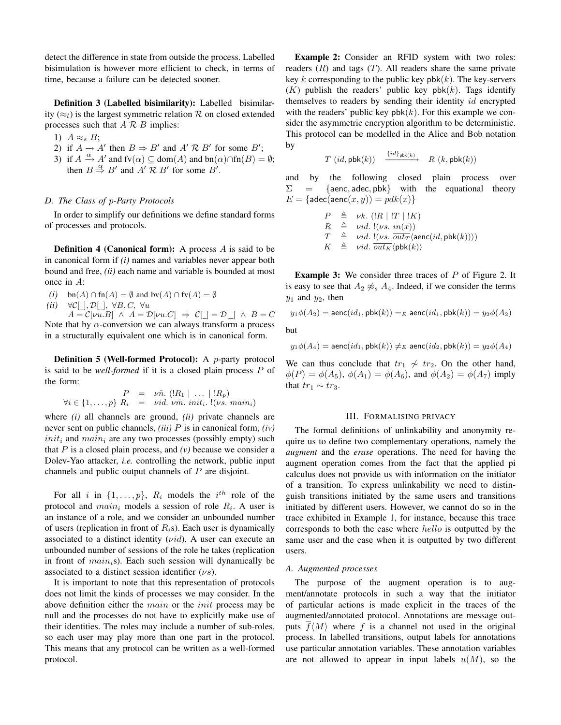detect the difference in state from outside the process. Labelled bisimulation is however more efficient to check, in terms of time, because a failure can be detected sooner.

Definition 3 (Labelled bisimilarity): Labelled bisimilarity  $(\approx_l)$  is the largest symmetric relation R on closed extended processes such that  $A \mathcal{R} B$  implies:

1)  $A \approx_{s} B$ ;

- 2) if  $A \to A'$  then  $B \Rightarrow B'$  and  $A' \mathcal{R} B'$  for some  $B'$ ;
- 3) if  $A \xrightarrow{\alpha} A'$  and fv $(\alpha) \subseteq \text{dom}(A)$  and  $\text{bn}(\alpha) \cap \text{fn}(B) = \emptyset$ ; then  $B \stackrel{\alpha}{\Rightarrow} B'$  and  $A' \stackrel{\frown}{\mathcal{R}} B'$  for some  $B'$ .

#### *D. The Class of* p*-Party Protocols*

In order to simplify our definitions we define standard forms of processes and protocols.

**Definition 4 (Canonical form):** A process  $A$  is said to be in canonical form if *(i)* names and variables never appear both bound and free, *(ii)* each name and variable is bounded at most once in A:

- *(i)* bn(A) ∩ fn(A) =  $\emptyset$  and bv(A) ∩ fv(A) =  $\emptyset$
- *(ii)* ∀C[\_],  $\mathcal{D}$ [\_], ∀B, C, ∀u

 $A = \mathcal{C}[\nu u.B] \land A = \mathcal{D}[\nu u.C] \Rightarrow \mathcal{C}[\square] = \mathcal{D}[\square] \land B = C$ Note that by  $\alpha$ -conversion we can always transform a process in a structurally equivalent one which is in canonical form.

Definition 5 (Well-formed Protocol): A p-party protocol is said to be *well-formed* if it is a closed plain process P of the form:

$$
P = \nu \tilde{n}. (R_1 | \dots | R_p)
$$
  

$$
\forall i \in \{1, \dots, p\} \; R_i = \nu id. \; \nu \tilde{m}. \; init_i. \; !(\nu s. \; main_i)
$$

where *(i)* all channels are ground, *(ii)* private channels are never sent on public channels, *(iii)* P is in canonical form, *(iv)*  $init_i$  and  $main_i$  are any two processes (possibly empty) such that  $P$  is a closed plain process, and  $(v)$  because we consider a Dolev-Yao attacker, *i.e.* controlling the network, public input channels and public output channels of P are disjoint.

For all i in  $\{1, \ldots, p\}$ ,  $R_i$  models the  $i^{th}$  role of the protocol and  $main_i$  models a session of role  $R_i$ . A user is an instance of a role, and we consider an unbounded number of users (replication in front of  $R_i$ s). Each user is dynamically associated to a distinct identity  $(\nu id)$ . A user can execute an unbounded number of sessions of the role he takes (replication in front of  $main<sub>i</sub>$ s). Each such session will dynamically be associated to a distinct session identifier  $(\nu s)$ .

It is important to note that this representation of protocols does not limit the kinds of processes we may consider. In the above definition either the *main* or the *init* process may be null and the processes do not have to explicitly make use of their identities. The roles may include a number of sub-roles, so each user may play more than one part in the protocol. This means that any protocol can be written as a well-formed protocol.

Example 2: Consider an RFID system with two roles: readers  $(R)$  and tags  $(T)$ . All readers share the same private key k corresponding to the public key  $\mathsf{pbk}(k)$ . The key-servers  $(K)$  publish the readers' public key pbk(k). Tags identify themselves to readers by sending their identity id encrypted with the readers' public key  $pbk(k)$ . For this example we consider the asymmetric encryption algorithm to be deterministic. This protocol can be modelled in the Alice and Bob notation by

> $T (id, \mathsf{pbk}(k))$  $\xrightarrow{\{id\}_{\text{pbk}(k)}}$  $R(k, \mathsf{pbk}(k))$

and by the following closed plain process over  $\Sigma = \{$ aenc, adec, pbk with the equational theory  $E = \{ \text{adec}(\text{aenc}(x, y)) = \text{pdk}(x) \}$ 

$$
\begin{array}{lll} P & \triangleq & \nu k. \ (!R \mid !T \mid !K) \\ R & \triangleq & \nu id. \ ( \nu s. \ in(x) ) \\ T & \triangleq & \nu id. \ ( \nu s. \ out_T \langle \text{aenc}(id, \text{pbk}(k)) \rangle ) \\ K & \triangleq & \nu id. \ out_K \langle \text{pbk}(k) \rangle \end{array}
$$

**Example 3:** We consider three traces of P of Figure 2. It is easy to see that  $A_2 \not\approx_s A_4$ . Indeed, if we consider the terms  $y_1$  and  $y_2$ , then

$$
y_1\phi(A_2) = \text{aenc}(id_1, \text{pbk}(k)) =_E \text{aenc}(id_1, \text{pbk}(k)) = y_2\phi(A_2)
$$

but

$$
y_1\phi(A_4) = \mathsf{aenc}(id_1, \mathsf{pbk}(k)) \neq_E \mathsf{aenc}(id_2, \mathsf{pbk}(k)) = y_2\phi(A_4)
$$

We can thus conclude that  $tr_1 \nightharpoonup tr_2$ . On the other hand,  $\phi(P) = \phi(A_5)$ ,  $\phi(A_1) = \phi(A_6)$ , and  $\phi(A_2) = \phi(A_7)$  imply that  $tr_1 \sim tr_3$ .

#### III. FORMALISING PRIVACY

The formal definitions of unlinkability and anonymity require us to define two complementary operations, namely the *augment* and the *erase* operations. The need for having the augment operation comes from the fact that the applied pi calculus does not provide us with information on the initiator of a transition. To express unlinkability we need to distinguish transitions initiated by the same users and transitions initiated by different users. However, we cannot do so in the trace exhibited in Example 1, for instance, because this trace corresponds to both the case where hello is outputted by the same user and the case when it is outputted by two different users.

#### *A. Augmented processes*

The purpose of the augment operation is to augment/annotate protocols in such a way that the initiator of particular actions is made explicit in the traces of the augmented/annotated protocol. Annotations are message outputs  $f\langle M \rangle$  where f is a channel not used in the original process. In labelled transitions, output labels for annotations use particular annotation variables. These annotation variables are not allowed to appear in input labels  $u(M)$ , so the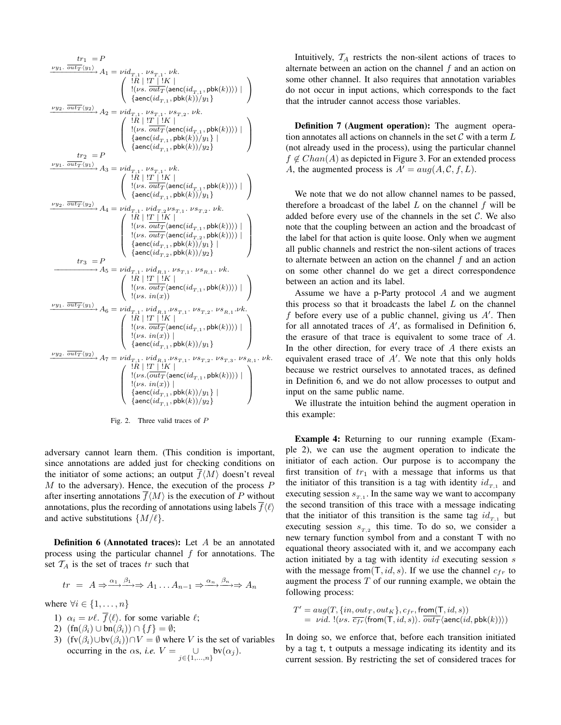$$
\begin{array}{c} \displaystyle\frac{\nu_{y_1}.\ \overline{out_T}\langle y_1\rangle}{out_T\langle y_1\rangle}A_1=\nu id_{T,1}.\ \nu s_{T,1}.\ \nu k. \\ \displaystyle\left\{\begin{array}{c} \vert R\mid T\mid 'K\mid \\ \vert (vs.\ \overline{out_T}\langle \text{aenc}(id_{T,1},\text{pbk}(k))\rangle\vert\vert\right\} \\ \displaystyle\left\{\begin{array}{c} \displaystyle\frac{\nu_{y_2}.\ \overline{out_T}\langle y_2\rangle}{out_T\langle y_2\rangle}A_2=\nu id_{T,1}.\ \nu s_{T,1}.\ \nu s_{T,2}.\ \nu k. \\ \displaystyle\left\{\begin{array}{c} \vert R\mid 'T\mid 'K\mid \\ \vert (vs.\ \overline{out_T}\langle \text{aenc}(id_{T,1},\text{pbk}(k))\rangle\vert\vert\right\} \\ \displaystyle\left\{\begin{array}{c} \displaystyle\frac{\nu_{y_1}.\ \overline{out_T}\langle y_1\rangle}{out_T\langle y_1\rangle}A_3=\nu id_{T,1}.\ \nu s_{T,1}.\ \nu k. \\ \displaystyle\left\{\begin{array}{c} \displaystyle\frac{\nu R\mid 'T\mid 'K\mid }{\vert (vs.\ \overline{out_T}\langle \text{aenc}(id_{T,1},\text{pbk}(k))\rangle\vert\vert\vert\right\} \\ \displaystyle\left\{\begin{array}{c} \displaystyle\frac{\nu v_2.\ \overline{out_T}\langle y_1\rangle}{out_T\langle y_1\rangle}A_3=\nu id_{T,1}.\ \nu s_{T,1}.\ \nu k. \\ \displaystyle\left\{\begin{array}{c} \displaystyle\frac{\nu R\mid 'T\mid 'K\mid }{\vert (vs.\ \overline{out_T}\langle \text{aenc}(id_{T,1},\text{pbk}(k))\rangle\vert\vert\vert\vert\right\} \\ \displaystyle\left\{\begin{array}{c} \displaystyle\frac{\nu R\mid 'T\mid 'K\mid }{\vert (vs.\ \overline{out_T}\langle \text{aenc}(id_{T,1},\text{pbk}(k))\rangle\vert\vert\vert\vert\right\} \\ \displaystyle\left\{\begin{array}{c} \displaystyle\frac{\nu R\mid 'T\mid 'K\mid }{\vert (vs.\ \overline{out_T}\langle \text{aenc}(id_{T,1},\text{pbk}(k))\rangle\vert\vert\vert\vert\
$$



adversary cannot learn them. (This condition is important, since annotations are added just for checking conditions on the initiator of some actions; an output  $\overline{f}(M)$  doesn't reveal  $M$  to the adversary). Hence, the execution of the process  $P$ after inserting annotations  $\overline{f}(M)$  is the execution of P without annotations, plus the recording of annotations using labels  $\overline{f} \langle \ell \rangle$ and active substitutions  $\{M/\ell\}.$ 

**Definition 6 (Annotated traces):** Let  $A$  be an annotated process using the particular channel  $f$  for annotations. The set  $T_A$  is the set of traces tr such that

$$
tr = A \Rightarrow \xrightarrow{\alpha_1} \xrightarrow{\beta_1} A_1 \dots A_{n-1} \Rightarrow \xrightarrow{\alpha_n} \xrightarrow{\beta_n} A_n
$$

where  $\forall i \in \{1, \ldots, n\}$ 

- 1)  $\alpha_i = \nu \ell$ .  $\overline{f} \langle \ell \rangle$ . for some variable  $\ell$ ;
- 2)  $(\text{fn}(\beta_i) \cup \text{bn}(\beta_i)) \cap \{f\} = \emptyset;$
- 3)  $(fv(\beta_i) \cup bv(\beta_i)) \cap V = \emptyset$  where V is the set of variables occurring in the  $\alpha s$ , *i.e.*  $V = \bigcup_{j \in \{1, ..., n\}} bv(\alpha_j)$ .

Intuitively,  $T_A$  restricts the non-silent actions of traces to alternate between an action on the channel  $f$  and an action on some other channel. It also requires that annotation variables do not occur in input actions, which corresponds to the fact that the intruder cannot access those variables.

Definition 7 (Augment operation): The augment operation annotates all actions on channels in the set  $\mathcal C$  with a term  $L$ (not already used in the process), using the particular channel  $f \notin Chan(A)$  as depicted in Figure 3. For an extended process A, the augmented process is  $A' = aug(A, C, f, L)$ .

We note that we do not allow channel names to be passed, therefore a broadcast of the label  $L$  on the channel  $f$  will be added before every use of the channels in the set  $C$ . We also note that the coupling between an action and the broadcast of the label for that action is quite loose. Only when we augment all public channels and restrict the non-silent actions of traces to alternate between an action on the channel  $f$  and an action on some other channel do we get a direct correspondence between an action and its label.

Assume we have a p-Party protocol A and we augment this process so that it broadcasts the label  $L$  on the channel f before every use of a public channel, giving us  $A'$ . Then for all annotated traces of  $A'$ , as formalised in Definition 6, the erasure of that trace is equivalent to some trace of A. In the other direction, for every trace of  $A$  there exists an equivalent erased trace of  $A'$ . We note that this only holds because we restrict ourselves to annotated traces, as defined in Definition 6, and we do not allow processes to output and input on the same public name.

We illustrate the intuition behind the augment operation in this example:

Example 4: Returning to our running example (Example 2), we can use the augment operation to indicate the initiator of each action. Our purpose is to accompany the first transition of  $tr_1$  with a message that informs us that the initiator of this transition is a tag with identity  $id_{T,1}$  and executing session  $s_{T,1}$ . In the same way we want to accompany the second transition of this trace with a message indicating that the initiator of this transition is the same tag  $id_{T,1}$  but executing session  $s_{T,2}$  this time. To do so, we consider a new ternary function symbol from and a constant T with no equational theory associated with it, and we accompany each action initiated by a tag with identity  $id$  executing session  $s$ with the message from  $(T, id, s)$ . If we use the channel  $c_{fr}$  to augment the process  $T$  of our running example, we obtain the following process:

$$
T' = aug(T, \{in,out_T,out_K\}, c_{fr}, \text{from}(\text{T}, id, s))
$$
  
= *vid.* !(*vs.*  $\overline{c_{fr}} \langle \text{from}(\text{T}, id, s) \rangle$ .  $\overline{out_T} \langle \text{aenc}(id, \text{pbk}(k)) \rangle$ )

In doing so, we enforce that, before each transition initiated by a tag t, t outputs a message indicating its identity and its current session. By restricting the set of considered traces for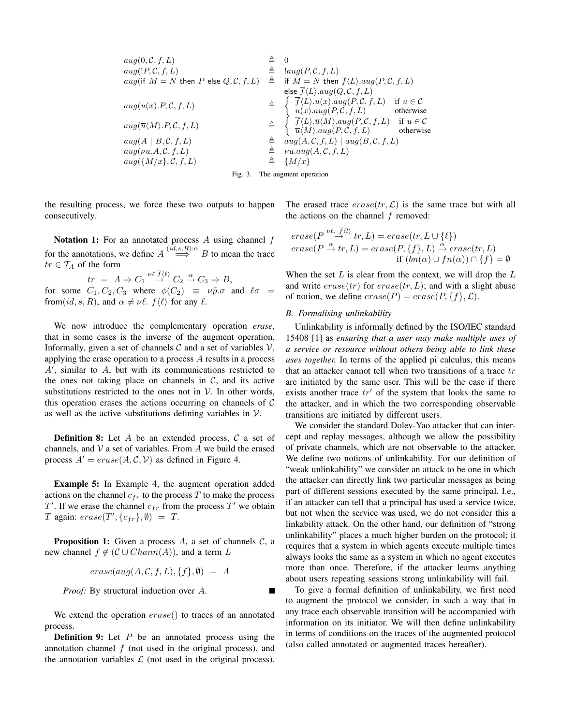| $aug(0, C, f, L)$                                                | $\triangleq$ | 0                                                                                              |                   |
|------------------------------------------------------------------|--------------|------------------------------------------------------------------------------------------------|-------------------|
| $aug(IF, C, f, L)$                                               | $\triangleq$ | $lang(P, C, f, L)$                                                                             |                   |
| $aug(\text{if } M = N \text{ then } P \text{ else } Q, C, f, L)$ | $\triangleq$ | $if M = N \text{ then } \overline{f}\langle L\rangle \cdot aug(P, C, f, L)$                    |                   |
| $aug(u(x).P, C, f, L)$                                           | $\triangleq$ | $\int_{\text{else } \overline{f}\langle L\rangle \cdot aug(Q, C, f, L)$                        | $if u \in C$      |
| $aug(u(x).P, C, f, L)$                                           | $\triangleq$ | $\int_{u(x).aug(P, C, f, L)}$                                                                  | $if u \in C$      |
| $aug(x).aug(P, C, f, L)$                                         | $\triangleq$ | $\int_{\overline{f}\langle L\rangle \cdot \overline{u}\langle M\rangle \cdot aug(P, C, f, L)}$ | $if u \in C$      |
| $aug(x).aug(P, C, f, L)$                                         | $\triangleq$ | $\int_{\overline{f}\langle L\rangle \cdot \overline{u}\langle M\rangle \cdot aug(P, C, f, L)}$ | $if u \in C$      |
| $aug(M).neg(P, C, f, L)$                                         | $\triangleq$ | $\int_{u(M).aug(P, C, f, L)}$                                                                  | $if u \in C$      |
| $aug(M).aug(P, C, f, L)$                                         | $\triangleq$ | $aug(A, C, f, L)$                                                                              | $aug(B, C, f, L)$ |
| $aug(\{M/x\}, C, f, L)$                                          | $\triangleq$ | $\$                                                                                            |                   |

the resulting process, we force these two outputs to happen consecutively.

Notation 1: For an annotated process  $A$  using channel  $f$ for the annotations, we define  $A \stackrel{(id,s,R):\alpha}{\Longrightarrow} B$  to mean the trace  $tr \in T_A$  of the form

 $tr = A \Rightarrow C_1 \stackrel{\nu \ell. f \langle \ell \rangle}{\rightarrow} C_2 \stackrel{\alpha}{\rightarrow} C_3 \Rightarrow B,$ for some  $C_1, C_2, C_3$  where  $\phi(C_2) \equiv \nu \tilde{p} \cdot \sigma$  and  $\ell \sigma =$ from(id, s, R), and  $\alpha \neq \nu \ell$ .  $\overline{f}\langle \ell \rangle$  for any  $\ell$ .

We now introduce the complementary operation *erase*, that in some cases is the inverse of the augment operation. Informally, given a set of channels  $C$  and a set of variables  $V$ , applying the erase operation to a process A results in a process  $A'$ , similar to  $A$ , but with its communications restricted to the ones not taking place on channels in  $C$ , and its active substitutions restricted to the ones not in  $V$ . In other words, this operation erases the actions occurring on channels of  $C$ as well as the active substitutions defining variables in  $V$ .

**Definition 8:** Let  $A$  be an extended process,  $C$  a set of channels, and  $V$  a set of variables. From  $A$  we build the erased process  $A' = erase(A, C, V)$  as defined in Figure 4.

Example 5: In Example 4, the augment operation added actions on the channel  $c_{fr}$  to the process T to make the process T'. If we erase the channel  $c_{fr}$  from the process T' we obtain T again:  $\text{erase}(T', \{c_{fr}\}, \emptyset) = T$ .

**Proposition 1:** Given a process A, a set of channels  $C$ , a new channel  $f \notin (C \cup Chann(A))$ , and a term L

$$
erase(aug(A, C, f, L), \{f\}, \emptyset) = A
$$

*Proof:* By structural induction over A.

We extend the operation  $erase()$  to traces of an annotated process.

**Definition 9:** Let  $P$  be an annotated process using the annotation channel  $f$  (not used in the original process), and the annotation variables  $\mathcal L$  (not used in the original process).

The erased trace  $\text{erase}(tr, \mathcal{L})$  is the same trace but with all the actions on the channel  $f$  removed:

$$
\begin{aligned}\n\text{erase}(P \xrightarrow{\nu \ell.} f \langle l \rangle \ tr, L) &= \text{erase}(tr, L \cup \{\ell\}) \\
\text{erase}(P \xrightarrow{\alpha} tr, L) &= \text{erase}(P, \{f\}, L) \xrightarrow{\alpha} \text{erase}(tr, L) \\
&\quad \text{if } (bn(\alpha) \cup fn(\alpha)) \cap \{f\} = \emptyset\n\end{aligned}
$$

When the set  $L$  is clear from the context, we will drop the  $L$ and write  $\text{erase}(tr)$  for  $\text{erase}(tr, L)$ ; and with a slight abuse of notion, we define  $\text{erase}(P) = \text{erase}(P, \{f\}, \mathcal{L})$ .

#### *B. Formalising unlinkability*

Unlinkability is informally defined by the ISO/IEC standard 15408 [1] as *ensuring that a user may make multiple uses of a service or resource without others being able to link these uses together.* In terms of the applied pi calculus, this means that an attacker cannot tell when two transitions of a trace  $tr$ are initiated by the same user. This will be the case if there exists another trace  $tr'$  of the system that looks the same to the attacker, and in which the two corresponding observable transitions are initiated by different users.

We consider the standard Dolev-Yao attacker that can intercept and replay messages, although we allow the possibility of private channels, which are not observable to the attacker. We define two notions of unlinkability. For our definition of "weak unlinkability" we consider an attack to be one in which the attacker can directly link two particular messages as being part of different sessions executed by the same principal. I.e., if an attacker can tell that a principal has used a service twice, but not when the service was used, we do not consider this a linkability attack. On the other hand, our definition of "strong unlinkability" places a much higher burden on the protocol; it requires that a system in which agents execute multiple times always looks the same as a system in which no agent executes more than once. Therefore, if the attacker learns anything about users repeating sessions strong unlinkability will fail.

To give a formal definition of unlinkability, we first need to augment the protocol we consider, in such a way that in any trace each observable transition will be accompanied with information on its initiator. We will then define unlinkability in terms of conditions on the traces of the augmented protocol (also called annotated or augmented traces hereafter).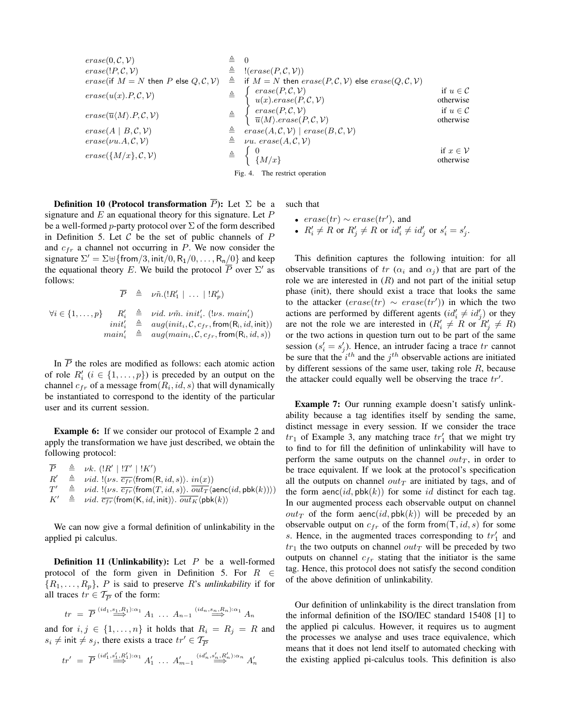| $\mathit{erase}(0, \mathcal{C}, \mathcal{V})$                             | ≜            |                                                                                                                                           |                                     |
|---------------------------------------------------------------------------|--------------|-------------------------------------------------------------------------------------------------------------------------------------------|-------------------------------------|
| $\text{erase}(!P, C, V)$                                                  | ≜            | $!(\text{erase}(P, C, V))$                                                                                                                |                                     |
| <i>erase</i> (if $M = N$ then P else $Q, C, V$ )                          | $\triangleq$ | if $M = N$ then $\text{erase}(P, C, V)$ else $\text{erase}(Q, C, V)$                                                                      |                                     |
| $erase(u(x).P, \mathcal{C}, \mathcal{V})$                                 | $\triangleq$ | $\left\{\begin{array}{l} \text{erase}(P, \mathcal{C}, \mathcal{V}) \\ u(x). \text{erase}(P, \mathcal{C}, \mathcal{V}) \end{array}\right.$ | if $u \in \mathcal{C}$<br>otherwise |
| $\text{erase}(\overline{u}\langle M \rangle.P, \mathcal{C}, \mathcal{V})$ |              |                                                                                                                                           | if $u \in \mathcal{C}$<br>otherwise |
| $\text{erase}(A \mid B, \mathcal{C}, \mathcal{V})$                        |              | $\triangleq \; \text{erase}(A, \mathcal{C}, \mathcal{V}) \mid \text{erase}(B, \mathcal{C}, \mathcal{V})$                                  |                                     |
| $\text{erase}(\nu u.A, C, V)$                                             | ≜            | $\nu u. \, \text{erase}(A, \mathcal{C}, \mathcal{V})$                                                                                     |                                     |
| $\text{erase}(\{M/x\}, \mathcal{C}, \mathcal{V})$                         |              | $\triangleq \begin{cases} 0 \\ \frac{4}{3}M/x \end{cases}$                                                                                | if $x \in \mathcal{V}$<br>otherwise |
|                                                                           |              | Fig. 4. The restrict operation                                                                                                            |                                     |

**Definition 10 (Protocol transformation**  $\overline{P}$ ): Let  $\Sigma$  be a signature and  $E$  an equational theory for this signature. Let  $P$ be a well-formed *p*-party protocol over  $\Sigma$  of the form described in Definition 5. Let  $C$  be the set of public channels of  $P$ and  $c_{fr}$  a channel not occurring in P. We now consider the signature  $\Sigma' = \Sigma \cup \{ \text{from}/3, \text{init}/0, R_1/0, \dots, R_n/0 \}$  and keep the equational theory E. We build the protocol  $\overline{P}$  over  $\Sigma'$  as follows:

$$
\overline{P} \triangleq \nu \tilde{n}.(|R'_1| \ldots |!R'_p)
$$

$$
\forall i \in \{1, \ldots, p\} \quad R'_i \triangleq \text{vid. } \nu \tilde{m}. \text{ } init'_i. \text{ } (\text{lvs. } main'_i) \n\quad \text{init}'_i \triangleq \text{ } aug (init_i, \mathcal{C}, c_{fr}, \text{from}(\mathcal{R}_i, id, \text{init})) \n\text{main}'_i \triangleq \text{ } aug (main_i, \mathcal{C}, c_{fr}, \text{from}(\mathcal{R}_i, id, s))
$$

In  $\overline{P}$  the roles are modified as follows: each atomic action of role  $R'_i$   $(i \in \{1, ..., p\})$  is preceded by an output on the channel  $c_{fr}$  of a message from $(R_i, id, s)$  that will dynamically be instantiated to correspond to the identity of the particular user and its current session.

Example 6: If we consider our protocol of Example 2 and apply the transformation we have just described, we obtain the following protocol:

 $\overline{P} \triangleq \nu k.$   $(|R'| | T' | K')$  $R'$  $\triangleq$  *vid.* !(*vs.*  $\overline{c_{fr}}$  (from  $(R, id, s)$ ).  $in(x)$ )  $T'$  $\triangleq \text{vid. } \left\{(\nu s, \overline{c_{fr}} \cdot (\text{from}(T, id, s)), \overline{out_T} \cdot (\text{aenc}(id, \text{pbk}(k))))\right\}$  $K' \triangleq \nu id. \overline{c_{fr}}$  (from  $(K, id, \text{init})$ ).  $\overline{out_K}$  (pbk $(k)$ )

We can now give a formal definition of unlinkability in the applied pi calculus.

**Definition 11 (Unlinkability):** Let  $P$  be a well-formed protocol of the form given in Definition 5. For  $R \in$  $\{R_1, \ldots, R_p\}$ , P is said to preserve R's *unlinkability* if for all traces  $tr \in \mathcal{T}_{\overline{P}}$  of the form:

$$
tr = \overline{P} \overset{(id_1, s_1, R_1): \alpha_1}{\Longrightarrow} A_1 \dots A_{n-1} \overset{(id_n, s_n, R_n): \alpha_1}{\Longrightarrow} A_n
$$

and for  $i, j \in \{1, \ldots, n\}$  it holds that  $R_i = R_j = R$  and  $s_i \neq \text{init} \neq s_j$ , there exists a trace  $tr' \in \mathcal{T}_{\overline{P}}$ 

$$
tr' = \overline{P} \stackrel{(id'_1, s'_1, R'_1): \alpha_1}{\Longrightarrow} A'_1 \ \ldots \ A'_{m-1} \stackrel{(id'_n, s'_n, R'_n): \alpha_n}{\Longrightarrow} A'_n
$$

such that

• 
$$
erase(tr) \sim erase(tr')
$$
, and

• 
$$
R'_i \neq R
$$
 or  $R'_j \neq R$  or  $id'_i \neq id'_j$  or  $s'_i = s'_j$ .

This definition captures the following intuition: for all observable transitions of tr  $(\alpha_i$  and  $\alpha_j)$  that are part of the role we are interested in  $(R)$  and not part of the initial setup phase (init), there should exist a trace that looks the same to the attacker  $(erase(tr) \sim erase(tr'))$  in which the two actions are performed by different agents  $(id'_i \neq id'_j)$  or they are not the role we are interested in  $(R'_i \neq R \text{ or } R'_j \neq R)$ or the two actions in question turn out to be part of the same session  $(s_i' = s_j')$ . Hence, an intruder facing a trace tr cannot be sure that the  $i^{th}$  and the  $j^{th}$  observable actions are initiated by different sessions of the same user, taking role  $R$ , because the attacker could equally well be observing the trace  $tr'$ .

Example 7: Our running example doesn't satisfy unlinkability because a tag identifies itself by sending the same, distinct message in every session. If we consider the trace  $tr_1$  of Example 3, any matching trace  $tr'_1$  that we might try to find to for fill the definition of unlinkability will have to perform the same outputs on the channel  $out<sub>T</sub>$ , in order to be trace equivalent. If we look at the protocol's specification all the outputs on channel  $out_T$  are initiated by tags, and of the form  $aenc(id, pbk(k))$  for some id distinct for each tag. In our augmented process each observable output on channel  $out_T$  of the form aenc(id, pbk(k)) will be preceded by an observable output on  $c_{fr}$  of the form from  $(T, id, s)$  for some s. Hence, in the augmented traces corresponding to  $tr'_1$  and  $tr_1$  the two outputs on channel  $out_T$  will be preceded by two outputs on channel  $c_{fr}$  stating that the initiator is the same tag. Hence, this protocol does not satisfy the second condition of the above definition of unlinkability.

Our definition of unlinkability is the direct translation from the informal definition of the ISO/IEC standard 15408 [1] to the applied pi calculus. However, it requires us to augment the processes we analyse and uses trace equivalence, which means that it does not lend itself to automated checking with the existing applied pi-calculus tools. This definition is also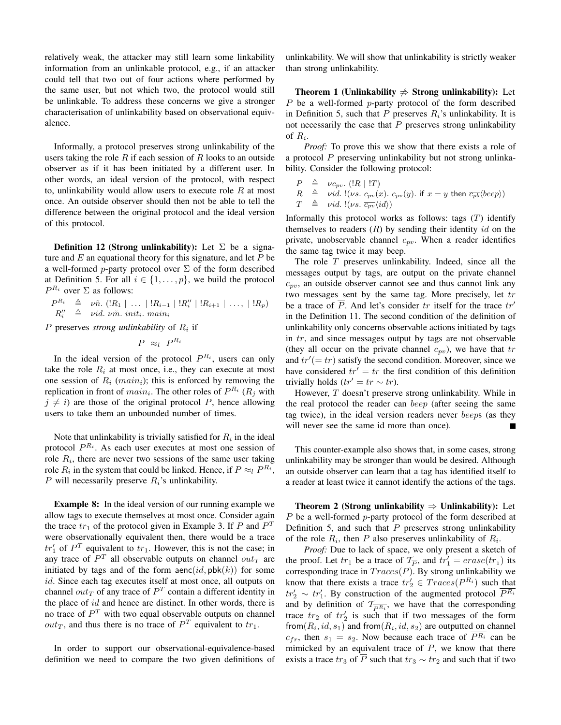relatively weak, the attacker may still learn some linkability information from an unlinkable protocol, e.g., if an attacker could tell that two out of four actions where performed by the same user, but not which two, the protocol would still be unlinkable. To address these concerns we give a stronger characterisation of unlinkability based on observational equivalence.

Informally, a protocol preserves strong unlinkability of the users taking the role  $R$  if each session of  $R$  looks to an outside observer as if it has been initiated by a different user. In other words, an ideal version of the protocol, with respect to, unlinkability would allow users to execute role  $R$  at most once. An outside observer should then not be able to tell the difference between the original protocol and the ideal version of this protocol.

**Definition 12 (Strong unlinkability):** Let  $\Sigma$  be a signature and  $E$  an equational theory for this signature, and let  $P$  be a well-formed *p*-party protocol over  $\Sigma$  of the form described at Definition 5. For all  $i \in \{1, \ldots, p\}$ , we build the protocol  $P^{R_i}$  over  $\Sigma$  as follows:

 $P^{R_i} \triangleq \nu \tilde{n}$ .  $(|R_1| \dots | R_{i-1} | R''_i | R_{i+1} | \dots | R_p)$  $R_i''$  $\triangleq$  vid. vm̃. init<sub>i</sub>. main<sub>i</sub>

 $P$  preserves *strong unlinkability* of  $R_i$  if

 $P \approx_l P^{R_i}$ 

In the ideal version of the protocol  $P^{R_i}$ , users can only take the role  $R_i$  at most once, i.e., they can execute at most one session of  $R_i$  (*main<sub>i</sub>*); this is enforced by removing the replication in front of  $main_i$ . The other roles of  $P^{R_i}$  ( $R_j$  with  $j \neq i$ ) are those of the original protocol P, hence allowing users to take them an unbounded number of times.

Note that unlinkability is trivially satisfied for  $R_i$  in the ideal protocol  $P^{R_i}$ . As each user executes at most one session of role  $R_i$ , there are never two sessions of the same user taking role  $R_i$  in the system that could be linked. Hence, if  $P \approx_l P^{R_i}$ , P will necessarily preserve  $R_i$ 's unlinkability.

Example 8: In the ideal version of our running example we allow tags to execute themselves at most once. Consider again the trace  $tr_1$  of the protocol given in Example 3. If P and  $P<sup>T</sup>$ were observationally equivalent then, there would be a trace  $tr'_1$  of  $P^T$  equivalent to  $tr_1$ . However, this is not the case; in any trace of  $P<sup>T</sup>$  all observable outputs on channel  $out_T$  are initiated by tags and of the form  $aenc(id, pbk(k))$  for some id. Since each tag executes itself at most once, all outputs on channel  $out_T$  of any trace of  $P^T$  contain a different identity in the place of  $id$  and hence are distinct. In other words, there is no trace of  $P<sup>T</sup>$  with two equal observable outputs on channel  $out_T$ , and thus there is no trace of  $P<sup>T</sup>$  equivalent to  $tr_1$ .

In order to support our observational-equivalence-based definition we need to compare the two given definitions of unlinkability. We will show that unlinkability is strictly weaker than strong unlinkability.

Theorem 1 (Unlinkability  $\Rightarrow$  Strong unlinkability): Let  $P$  be a well-formed  $p$ -party protocol of the form described in Definition 5, such that P preserves  $R_i$ 's unlinkability. It is not necessarily the case that  $P$  preserves strong unlinkability of  $R_i$ .

*Proof:* To prove this we show that there exists a role of a protocol P preserving unlinkability but not strong unlinkability. Consider the following protocol:

 $P \triangleq \nu c_{pv}$ . (! $R | !T$ )  $R \triangleq \text{vid. } !(\nu s. c_{pv}(x). c_{pv}(y).$  if  $x = y$  then  $\overline{c_{pb}}\langle beep \rangle)$  $T \triangleq \text{vid. } !(\nu s. \overline{c_{pv}}\langle id \rangle)$ 

Informally this protocol works as follows: tags  $(T)$  identify themselves to readers  $(R)$  by sending their identity id on the private, unobservable channel  $c_{pv}$ . When a reader identifies the same tag twice it may beep.

The role  $T$  preserves unlinkability. Indeed, since all the messages output by tags, are output on the private channel  $c_{\text{pv}}$ , an outside observer cannot see and thus cannot link any two messages sent by the same tag. More precisely, let tr be a trace of P. And let's consider tr itself for the trace  $tr'$ in the Definition 11. The second condition of the definition of unlinkability only concerns observable actions initiated by tags in tr, and since messages output by tags are not observable (they all occur on the private channel  $c_{pv}$ ), we have that tr and  $tr' (= tr)$  satisfy the second condition. Moreover, since we have considered  $tr' = tr$  the first condition of this definition trivially holds ( $tr' = tr \sim tr$ ).

However, T doesn't preserve strong unlinkability. While in the real protocol the reader can beep (after seeing the same tag twice), in the ideal version readers never beeps (as they will never see the same id more than once). ٠

This counter-example also shows that, in some cases, strong unlinkability may be stronger than would be desired. Although an outside observer can learn that a tag has identified itself to a reader at least twice it cannot identify the actions of the tags.

Theorem 2 (Strong unlinkability  $\Rightarrow$  Unlinkability): Let P be a well-formed p-party protocol of the form described at Definition 5, and such that  $P$  preserves strong unlinkability of the role  $R_i$ , then P also preserves unlinkability of  $R_i$ .

*Proof:* Due to lack of space, we only present a sketch of the proof. Let  $tr_1$  be a trace of  $\mathcal{T}_{\overline{P}}$ , and  $tr'_1 = erase(tr_1)$  its corresponding trace in  $Trace(P)$ . By strong unlinkability we know that there exists a trace  $tr'_2 \in Traces(P^{R_i})$  such that  $tr'_2 \sim tr'_1$ . By construction of the augmented protocol  $\overline{P^{R_i}}$ and by definition of  $\mathcal{T}_{\overline{P^{R_i}}}$ , we have that the corresponding trace  $tr_2$  of  $tr'_2$  is such that if two messages of the form from $(R_i, id, s_1)$  and from $(R_i, id, s_2)$  are outputted on channel  $c_{fr}$ , then  $s_1 = s_2$ . Now because each trace of  $P^{R_i}$  can be mimicked by an equivalent trace of  $\overline{P}$ , we know that there exists a trace  $tr_3$  of  $\overline{P}$  such that  $tr_3 \sim tr_2$  and such that if two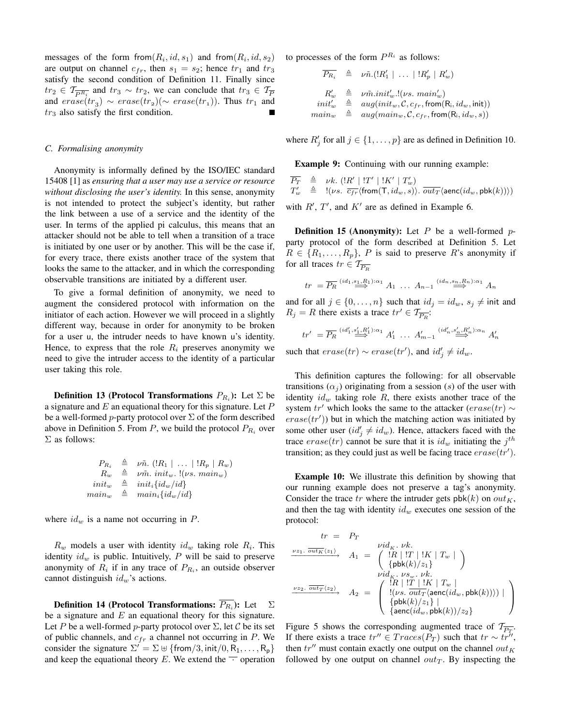messages of the form from  $(R_i, id, s_1)$  and from  $(R_i, id, s_2)$ are output on channel  $c_{fr}$ , then  $s_1 = s_2$ ; hence  $tr_1$  and  $tr_3$ satisfy the second condition of Definition 11. Finally since  $tr_2 \in \mathcal{T}_{\overline{PR_1}}$  and  $tr_3 \sim tr_2$ , we can conclude that  $tr_3 \in \mathcal{T}_{\overline{P}}$ and  $\text{erase}(tr_3) \sim \text{erase}(tr_2) (\sim \text{erase}(tr_1))$ . Thus  $tr_1$  and  $tr<sub>3</sub>$  also satisfy the first condition.

#### *C. Formalising anonymity*

Anonymity is informally defined by the ISO/IEC standard 15408 [1] as *ensuring that a user may use a service or resource without disclosing the user's identity.* In this sense, anonymity is not intended to protect the subject's identity, but rather the link between a use of a service and the identity of the user. In terms of the applied pi calculus, this means that an attacker should not be able to tell when a transition of a trace is initiated by one user or by another. This will be the case if, for every trace, there exists another trace of the system that looks the same to the attacker, and in which the corresponding observable transitions are initiated by a different user.

To give a formal definition of anonymity, we need to augment the considered protocol with information on the initiator of each action. However we will proceed in a slightly different way, because in order for anonymity to be broken for a user u, the intruder needs to have known u's identity. Hence, to express that the role  $R_i$  preserves anonymity we need to give the intruder access to the identity of a particular user taking this role.

**Definition 13 (Protocol Transformations**  $P_{R_i}$ ): Let  $\Sigma$  be a signature and  $E$  an equational theory for this signature. Let  $P$ be a well-formed *p*-party protocol over  $\Sigma$  of the form described above in Definition 5. From  $P$ , we build the protocol  $P_{R_i}$  over  $\Sigma$  as follows:

$$
P_{R_i} \triangleq \nu \tilde{n}. (|R_1| \dots | R_p | R_w) \nR_w \triangleq \nu \tilde{m}. init_w. !(\nu s. main_w) \ninit_w \triangleq init_i {id_w / id} \nmain_w \triangleq main_i {id_w / id}
$$

where  $id_w$  is a name not occurring in  $P$ .

 $R_w$  models a user with identity  $id_w$  taking role  $R_i$ . This identity  $id_w$  is public. Intuitively, P will be said to preserve anonymity of  $R_i$  if in any trace of  $P_{R_i}$ , an outside observer cannot distinguish  $id_w$ 's actions.

**Definition 14 (Protocol Transformations:**  $P_{R_i}$ ): Let  $\sum$ be a signature and  $E$  an equational theory for this signature. Let P be a well-formed p-party protocol over  $\Sigma$ , let C be its set of public channels, and  $c_{fr}$  a channel not occurring in P. We consider the signature  $\Sigma' = \Sigma \uplus {\{\text{from}/3, \text{init}/0, \text{R}_1, \dots, \text{R}_p\}}$ and keep the equational theory E. We extend the  $\overline{\phantom{a}}$  operation to processes of the form  $P^{R_i}$  as follows:

$$
\begin{array}{rcl}\n\overline{P_{R_i}} & \triangleq & \nu \tilde{n}.(\mathop{!R'_1} \mid \ \ldots \ \mid !R'_p \mid R'_w) \\
R'_w & \triangleq & \nu \tilde{m}.init'_w.!(\nu s.\ main'_w) \\
init'_w & \triangleq & aug(int_w, \mathcal{C}, c_{fr}, \mathop{from}(R_i, id_w, \mathop{init})) \\
main_w & \triangleq & aug(maxin_w, \mathcal{C}, c_{fr}, \mathop{from}(R_i, id_w, s))\n\end{array}
$$

where  $R'_j$  for all  $j \in \{1, \ldots, p\}$  are as defined in Definition 10.

Example 9: Continuing with our running example:

$$
\begin{array}{rcl} \overline{P_T} & \triangleq & \nu k. \ (!R' \mid !T' \mid !K' \mid T'_w) \\ T'_w & \triangleq & !(\nu s. \ \overline{c_{fr}} \langle \mathrm{from}(\mathsf{T},id_w,s) \rangle. \ \overline{out_T} \langle \mathrm{aenc}(id_w,\mathrm{pbk}(k)) \rangle) \end{array}
$$

with  $R'$ ,  $T'$ , and  $K'$  are as defined in Example 6.

**Definition 15 (Anonymity):** Let  $P$  be a well-formed  $p$ party protocol of the form described at Definition 5. Let  $R \in \{R_1, \ldots, R_p\},\ P$  is said to preserve R's anonymity if for all traces  $tr \in \mathcal{T}_{\overline{P_{\mathcal{P}}}}$ 

$$
tr = \overline{P_R} \stackrel{(id_1, s_1, R_1): \alpha_1}{\Longrightarrow} A_1 \ \ldots \ A_{n-1} \stackrel{(id_n, s_n, R_n): \alpha_1}{\Longrightarrow} A_n
$$

and for all  $j \in \{0, \ldots, n\}$  such that  $id_j = id_w$ ,  $s_j \neq \text{init}$  and  $R_j = R$  there exists a trace  $tr' \in \mathcal{T}_{\overline{P_R}}$ :

$$
tr' = \overline{P_R} \stackrel{(id'_1, s'_1, R'_1): \alpha_1}{\longrightarrow} A'_1 \dots A'_{m-1} \stackrel{(id'_n, s'_n, R'_n): \alpha_n}{\longrightarrow} A'_n
$$

such that  $\text{erase}(tr) \sim \text{erase}(tr')$ , and  $id'_j \neq id_w$ .

This definition captures the following: for all observable transitions  $(\alpha_i)$  originating from a session (s) of the user with identity  $id_w$  taking role  $R$ , there exists another trace of the system tr' which looks the same to the attacker (erase(tr)  $\sim$  $\text{erase}(tr')$ ) but in which the matching action was initiated by some other user  $(id'_j \neq id_w)$ . Hence, attackers faced with the trace  $\text{erase}(tr)$  cannot be sure that it is  $id_w$  initiating the  $j^{th}$ transition; as they could just as well be facing trace  $\text{erase}(tr').$ 

Example 10: We illustrate this definition by showing that our running example does not preserve a tag's anonymity. Consider the trace tr where the intruder gets  $pbk(k)$  on  $out<sub>K</sub>$ , and then the tag with identity  $id_w$  executes one session of the protocol:

$$
tr = Pr
$$
\n
$$
\xrightarrow{\nu z_1. \overline{out_K}\langle z_1\rangle} A_1 = \begin{pmatrix} \nu id_K. \nu k. \\ \{R \mid !T \mid !K \mid T_w \mid \\ \{pbk(k)/z_1\} \end{pmatrix}
$$
\n
$$
\xrightarrow{\nu i d_K. \nu s_w. \nu k.}
$$
\n
$$
\xrightarrow{\nu z_2. \overline{out_T}\langle z_2\rangle} A_2 = \begin{pmatrix} \frac{!R \mid !T \mid !K \mid T_w \mid}{\langle \nu s. \overline{out_T}\langle \text{aenc}(id_w, \text{pbk}(k)) \rangle \rangle \mid} \\ \frac{!R \mid !T \mid !K \mid T_w \mid}{\{pbk(k)/z_1\} \mid} \\ \frac{!R \mid !K \mid T_w \mid}{\{abc(id_w, \text{pbk}(k))/z_2\}} \end{pmatrix}
$$

Figure 5 shows the corresponding augmented trace of  $\mathcal{T}_{\overline{P_T}}$ . If there exists a trace  $tr'' \in Traces(P_T)$  such that  $tr \sim tr''$ , then  $tr''$  must contain exactly one output on the channel  $out_K$ followed by one output on channel  $out_T$ . By inspecting the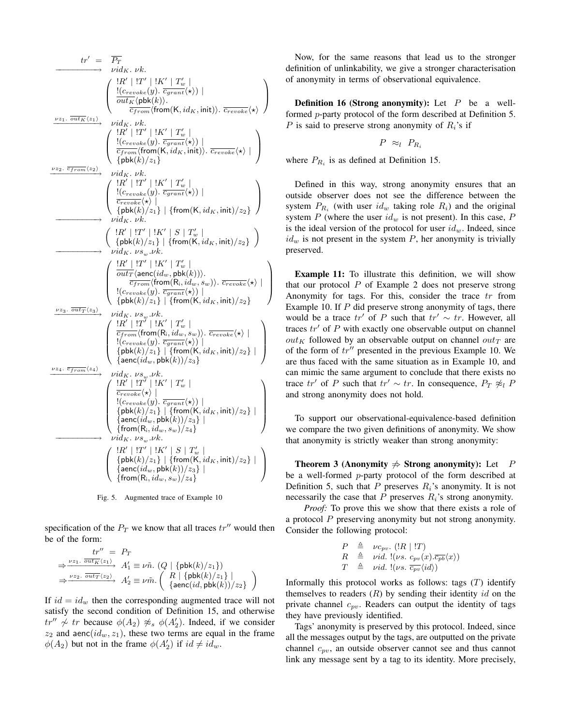$$
tr' = \overrightarrow{P_T}
$$
\n
$$
\longrightarrow \begin{pmatrix}\n\frac{1R'}{W} & \frac{1T'}{W} & \frac{1}{K'} \\
\frac{1}{2} & \frac{1}{2} & \frac{1}{2} & \frac{1}{2} & \frac{1}{2} \\
\frac{1}{2} & \frac{1}{2} & \frac{1}{2} & \frac{1}{2} & \frac{1}{2} \\
\frac{1}{2} & \frac{1}{2} & \frac{1}{2} & \frac{1}{2} & \frac{1}{2} \\
\frac{1}{2} & \frac{1}{2} & \frac{1}{2} & \frac{1}{2} & \frac{1}{2} \\
\frac{1}{2} & \frac{1}{2} & \frac{1}{2} & \frac{1}{2} & \frac{1}{2} \\
\frac{1}{2} & \frac{1}{2} & \frac{1}{2} & \frac{1}{2} & \frac{1}{2} \\
\frac{1}{2} & \frac{1}{2} & \frac{1}{2} & \frac{1}{2} \\
\frac{1}{2} & \frac{1}{2} & \frac{1}{2} & \frac{1}{2} \\
\frac{1}{2} & \frac{1}{2} & \frac{1}{2} & \frac{1}{2} \\
\frac{1}{2} & \frac{1}{2} & \frac{1}{2} & \frac{1}{2} \\
\frac{1}{2} & \frac{1}{2} & \frac{1}{2} & \frac{1}{2} \\
\frac{1}{2} & \frac{1}{2} & \frac{1}{2} & \frac{1}{2} \\
\frac{1}{2} & \frac{1}{2} & \frac{1}{2} & \frac{1}{2} \\
\frac{1}{2} & \frac{1}{2} & \frac{1}{2} & \frac{1}{2} \\
\frac{1}{2} & \frac{1}{2} & \frac{1}{2} & \frac{1}{2} \\
\frac{1}{2} & \frac{1}{2} & \frac{1}{2} & \frac{1}{2} \\
\frac{1}{2} & \frac{1}{2} & \frac{1}{2} & \frac{1}{2} \\
\frac{1}{2} & \frac{1}{2} & \frac{1}{2} & \frac{1}{2} \\
\frac{1}{2} & \frac{1}{2} & \frac{1}{2} & \frac{1}{2} \\
\frac{1}{2} & \frac{1}{2} & \frac{1}{2} & \frac{1}{2} \\
\frac{1}{2} & \frac{1}{2} &
$$

Fig. 5. Augmented trace of Example 10

specification of the  $P_T$  we know that all traces  $tr''$  would then be of the form:

$$
\begin{array}{rl} tr''&=&P_T\\ \Rightarrow^{\;\;\nu z_1.\;\;\overline{out_K}\langle z_1\rangle\;)} \ A'_1\equiv \nu \tilde{n}.\,\left(Q \mid \{\text{pbk}(k)/z_1\}\right)\\ \Rightarrow^{\;\;\nu z_2.\;\;\overline{out_T}\langle z_2\rangle\;}\ \ A'_2\equiv \nu \tilde{m}.\left(\begin{array}{l|l} R \mid \{\text{pbk}(k)/z_1\}\\ \{\text{aenc}(id,\text{pbk}(k))/z_2\}\end{array}\right) \end{array}
$$

If  $id = id_w$  then the corresponding augmented trace will not satisfy the second condition of Definition 15, and otherwise  $tr'' \nless t$  tr because  $\phi(A_2) \nless s \phi(A_2')$ . Indeed, if we consider  $z_2$  and aenc( $id_w, z_1$ ), these two terms are equal in the frame  $\phi(A_2)$  but not in the frame  $\phi(A'_2)$  if  $id \neq id_w$ .

Now, for the same reasons that lead us to the stronger definition of unlinkability, we give a stronger characterisation of anonymity in terms of observational equivalence.

**Definition 16 (Strong anonymity):** Let  $P$  be a wellformed p-party protocol of the form described at Definition 5. P is said to preserve strong anonymity of  $R_i$ 's if

$$
P \approx_l P_{R_i}
$$

where  $P_{R_i}$  is as defined at Definition 15.

Defined in this way, strong anonymity ensures that an outside observer does not see the difference between the system  $P_{R_i}$  (with user  $id_w$  taking role  $R_i$ ) and the original system P (where the user  $id_w$  is not present). In this case, P is the ideal version of the protocol for user  $id_w$ . Indeed, since  $id_w$  is not present in the system P, her anonymity is trivially preserved.

Example 11: To illustrate this definition, we will show that our protocol  $P$  of Example 2 does not preserve strong Anonymity for tags. For this, consider the trace  $tr$  from Example 10. If  $P$  did preserve strong anonymity of tags, there would be a trace  $tr'$  of P such that  $tr' \sim tr$ . However, all traces  $tr'$  of P with exactly one observable output on channel  $out_K$  followed by an observable output on channel  $out_T$  are of the form of  $tr''$  presented in the previous Example 10. We are thus faced with the same situation as in Example 10, and can mimic the same argument to conclude that there exists no trace  $tr'$  of P such that  $tr' \sim tr$ . In consequence,  $P_T \not\approx_l P$ and strong anonymity does not hold.

To support our observational-equivalence-based definition we compare the two given definitions of anonymity. We show that anonymity is strictly weaker than strong anonymity:

Theorem 3 (Anonymity  $\Rightarrow$  Strong anonymity): Let P be a well-formed p-party protocol of the form described at Definition 5, such that P preserves  $R_i$ 's anonymity. It is not necessarily the case that  $P$  preserves  $R_i$ 's strong anonymity.

*Proof:* To prove this we show that there exists a role of a protocol P preserving anonymity but not strong anonymity. Consider the following protocol:

$$
P \triangleq \nu c_{pv} \cdot (!R \mid !T)
$$
  
\n
$$
R \triangleq \nu id. \, !(\nu s. \, c_{pv}(x).\overline{c_{pb}}\langle x \rangle)
$$
  
\n
$$
T \triangleq \nu id. \, !(\nu s. \, \overline{c_{pv}}\langle id \rangle)
$$

Informally this protocol works as follows: tags  $(T)$  identify themselves to readers  $(R)$  by sending their identity id on the private channel  $c_{pv}$ . Readers can output the identity of tags they have previously identified.

Tags' anonymity is preserved by this protocol. Indeed, since all the messages output by the tags, are outputted on the private channel  $c_{pv}$ , an outside observer cannot see and thus cannot link any message sent by a tag to its identity. More precisely,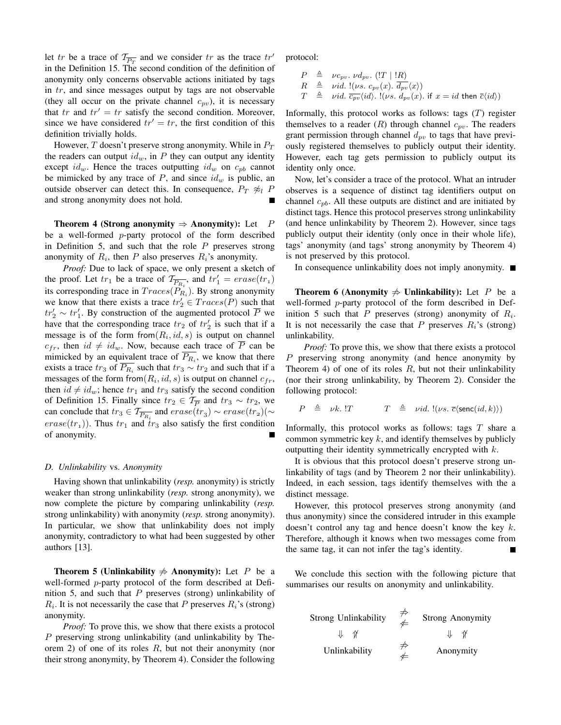let tr be a trace of  $\mathcal{T}_{\overline{P_T}}$  and we consider tr as the trace  $tr'$ in the Definition 15. The second condition of the definition of anonymity only concerns observable actions initiated by tags in tr, and since messages output by tags are not observable (they all occur on the private channel  $c_{pv}$ ), it is necessary that tr and  $tr' = tr$  satisfy the second condition. Moreover, since we have considered  $tr' = tr$ , the first condition of this definition trivially holds.

However,  $T$  doesn't preserve strong anonymity. While in  $P_T$ the readers can output  $id_w$ , in P they can output any identity except  $id_w$ . Hence the traces outputting  $id_w$  on  $c_{pb}$  cannot be mimicked by any trace of  $P$ , and since  $id_w$  is public, an outside observer can detect this. In consequence,  $P_T \not\approx_l P$ and strong anonymity does not hold.

Theorem 4 (Strong anonymity  $\Rightarrow$  Anonymity): Let P be a well-formed p-party protocol of the form described in Definition 5, and such that the role  $P$  preserves strong anonymity of  $R_i$ , then P also preserves  $R_i$ 's anonymity.

*Proof:* Due to lack of space, we only present a sketch of the proof. Let  $tr_1$  be a trace of  $\mathcal{T}_{\overline{P_{R_i}}}$ , and  $tr'_1 = erase(tr_1)$ its corresponding trace in  $Trace(P_{R_i})$ . By strong anonymity we know that there exists a trace  $tr'_2 \in Traces(P)$  such that  $tr'_2 \sim tr'_1$ . By construction of the augmented protocol  $\overline{P}$  we have that the corresponding trace  $tr_2$  of  $tr'_2$  is such that if a message is of the form from  $(R_i, id, s)$  is output on channel  $c_{fr}$ , then  $id \neq id_w$ . Now, because each trace of  $\overline{P}$  can be mimicked by an equivalent trace of  $P_{R_i}$ , we know that there exists a trace  $tr_3$  of  $\overline{P_{R_i}}$  such that  $tr_3 \sim tr_2$  and such that if a messages of the form from  $(R_i, id, s)$  is output on channel  $c_{fr}$ , then  $id \neq id_w$ ; hence  $tr_1$  and  $tr_3$  satisfy the second condition of Definition 15. Finally since  $tr_2 \in \mathcal{T}_{\overline{P}}$  and  $tr_3 \sim tr_2$ , we can conclude that  $tr_3 \in \mathcal{T}_{\overline{P_{R_i}}}$  and  $erase(tr_3) \sim erase(tr_2)(\sim$  $erase(tr<sub>1</sub>)$ ). Thus  $tr<sub>1</sub>$  and  $tr<sub>3</sub>$  also satisfy the first condition of anonymity.

#### *D. Unlinkability* vs. *Anonymity*

Having shown that unlinkability (*resp.* anonymity) is strictly weaker than strong unlinkability (*resp.* strong anonymity), we now complete the picture by comparing unlinkability (*resp.* strong unlinkability) with anonymity (*resp.* strong anonymity). In particular, we show that unlinkability does not imply anonymity, contradictory to what had been suggested by other authors [13].

**Theorem 5 (Unlinkability**  $\neq$  **Anonymity):** Let P be a well-formed p-party protocol of the form described at Definition 5, and such that  $P$  preserves (strong) unlinkability of  $R_i$ . It is not necessarily the case that P preserves  $R_i$ 's (strong) anonymity.

*Proof:* To prove this, we show that there exists a protocol P preserving strong unlinkability (and unlinkability by Theorem 2) of one of its roles  $R$ , but not their anonymity (nor their strong anonymity, by Theorem 4). Consider the following protocol:

 $P \triangleq \nu c_{pv}$ .  $\nu d_{pv}$ . (!T | !R)  $R \triangleq \nu id.$  !(vs.  $c_{pv}(x)$ .  $\overline{d_{pv}}(x)$ )  $T \triangleq \nu id. \overline{c_{pv}}\langle id \rangle$ .  $!(\nu s. d_{pv}(x).$  if  $x = id$  then  $\overline{c}\langle id \rangle$ )

Informally, this protocol works as follows: tags  $(T)$  register themselves to a reader  $(R)$  through channel  $c_{pv}$ . The readers grant permission through channel  $d_{pv}$  to tags that have previously registered themselves to publicly output their identity. However, each tag gets permission to publicly output its identity only once.

Now, let's consider a trace of the protocol. What an intruder observes is a sequence of distinct tag identifiers output on channel  $c_{pb}$ . All these outputs are distinct and are initiated by distinct tags. Hence this protocol preserves strong unlinkability (and hence unlinkability by Theorem 2). However, since tags publicly output their identity (only once in their whole life), tags' anonymity (and tags' strong anonymity by Theorem 4) is not preserved by this protocol.

In consequence unlinkability does not imply anonymity.  $\blacksquare$ 

**Theorem 6 (Anonymity**  $\neq$  **Unlinkability):** Let P be a well-formed p-party protocol of the form described in Definition 5 such that P preserves (strong) anonymity of  $R_i$ . It is not necessarily the case that P preserves  $R_i$ 's (strong) unlinkability.

*Proof:* To prove this, we show that there exists a protocol P preserving strong anonymity (and hence anonymity by Theorem 4) of one of its roles  $R$ , but not their unlinkability (nor their strong unlinkability, by Theorem 2). Consider the following protocol:

$$
P \triangleq \nu k
$$
.  $T \triangleq \nu id$ .  $!(\nu s. \overline{c} \langle \textsf{senc}(id, k) \rangle)$ 

Informally, this protocol works as follows: tags  $T$  share a common symmetric key  $k$ , and identify themselves by publicly outputting their identity symmetrically encrypted with k.

It is obvious that this protocol doesn't preserve strong unlinkability of tags (and by Theorem 2 nor their unlinkability). Indeed, in each session, tags identify themselves with the a distinct message.

However, this protocol preserves strong anonymity (and thus anonymity) since the considered intruder in this example doesn't control any tag and hence doesn't know the key  $k$ . Therefore, although it knows when two messages come from the same tag, it can not infer the tag's identity.

We conclude this section with the following picture that summarises our results on anonymity and unlinkability.

| <b>Strong Unlinkability</b> | $\not\Leftarrow$ | <b>Strong Anonymity</b> |
|-----------------------------|------------------|-------------------------|
| $\gamma$                    |                  | ∜<br>₩                  |
| Unlinkability               |                  | Anonymity               |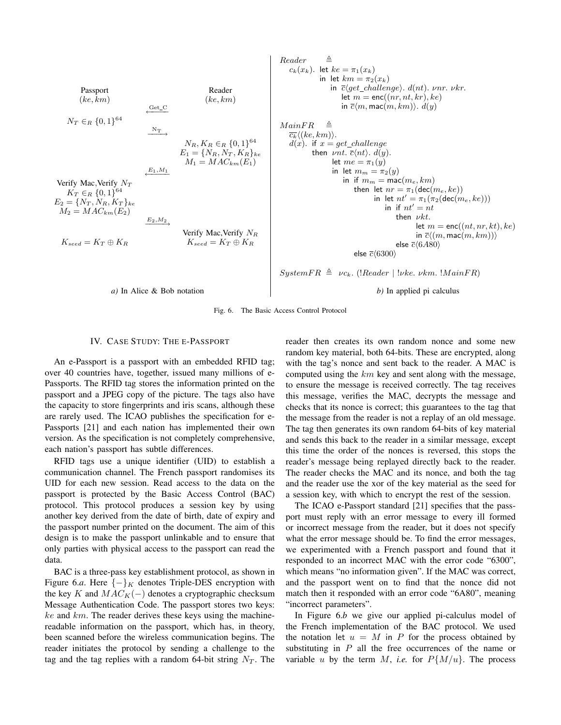| Passport                         | Reason                           |                                  |                                  |                                  |                                  |                                  |                                  |                                  |                                  |                                  |                                  |                                  |                                  |                                  |                                  |                                  |                                  |                                  |                                  |                                  |                       |
|----------------------------------|----------------------------------|----------------------------------|----------------------------------|----------------------------------|----------------------------------|----------------------------------|----------------------------------|----------------------------------|----------------------------------|----------------------------------|----------------------------------|----------------------------------|----------------------------------|----------------------------------|----------------------------------|----------------------------------|----------------------------------|----------------------------------|----------------------------------|----------------------------------|-----------------------|
| \n $N_{T} \in R \{0,1\}^{64}$ \n | \n $N_{T} \in R \{0,1\}^{64}$ \n | \n $N_{T} \in R \{0,1\}^{64}$ \n | \n $N_{T} \in R \{0,1\}^{64}$ \n | \n $N_{T} \in R \{0,1\}^{64}$ \n | \n $N_{T} \in R \{0,1\}^{64}$ \n | \n $N_{T} \in R \{0,1\}^{64}$ \n | \n $N_{T} \in R \{0,1\}^{64}$ \n | \n $N_{T} \in R \{0,1\}^{64}$ \n | \n $N_{T} \in R \{0,1\}^{64}$ \n | \n $N_{T} \in R \{0,1\}^{64}$ \n | \n $N_{T} \in R \{0,1\}^{64}$ \n | \n $N_{T} \in R \{0,1\}^{64}$ \n | \n $N_{T} \in R \{0,1\}^{64}$ \n | \n $N_{T} \in R \{0,1\}^{64}$ \n | \n $N_{T} \in R \{0,1\}^{64}$ \n | \n $N_{T} \in R \{0,1\}^{64}$ \n | \n $N_{T} \in R \{0,1\}^{64}$ \n | \n $N_{T} \in R \{0,1\}^{64}$ \n | \n $N_{T} \in R \{0,1\}^{64}$ \n | \n $N_{T} \in R \{0,1\}^{64}$ \n | \n $N_{T} \in R \{0,$ |

Fig. 6. The Basic Access Control Protocol

#### IV. CASE STUDY: THE E-PASSPORT

An e-Passport is a passport with an embedded RFID tag; over 40 countries have, together, issued many millions of e-Passports. The RFID tag stores the information printed on the passport and a JPEG copy of the picture. The tags also have the capacity to store fingerprints and iris scans, although these are rarely used. The ICAO publishes the specification for e-Passports [21] and each nation has implemented their own version. As the specification is not completely comprehensive, each nation's passport has subtle differences.

RFID tags use a unique identifier (UID) to establish a communication channel. The French passport randomises its UID for each new session. Read access to the data on the passport is protected by the Basic Access Control (BAC) protocol. This protocol produces a session key by using another key derived from the date of birth, date of expiry and the passport number printed on the document. The aim of this design is to make the passport unlinkable and to ensure that only parties with physical access to the passport can read the data.

BAC is a three-pass key establishment protocol, as shown in Figure 6.*a*. Here  $\{-\}_K$  denotes Triple-DES encryption with the key K and  $MAC_K(-)$  denotes a cryptographic checksum Message Authentication Code. The passport stores two keys:  $ke$  and  $km$ . The reader derives these keys using the machinereadable information on the passport, which has, in theory, been scanned before the wireless communication begins. The reader initiates the protocol by sending a challenge to the tag and the tag replies with a random 64-bit string  $N_T$ . The reader then creates its own random nonce and some new random key material, both 64-bits. These are encrypted, along with the tag's nonce and sent back to the reader. A MAC is computed using the  $km$  key and sent along with the message, to ensure the message is received correctly. The tag receives this message, verifies the MAC, decrypts the message and checks that its nonce is correct; this guarantees to the tag that the message from the reader is not a replay of an old message. The tag then generates its own random 64-bits of key material and sends this back to the reader in a similar message, except this time the order of the nonces is reversed, this stops the reader's message being replayed directly back to the reader. The reader checks the MAC and its nonce, and both the tag and the reader use the xor of the key material as the seed for a session key, with which to encrypt the rest of the session.

The ICAO e-Passport standard [21] specifies that the passport must reply with an error message to every ill formed or incorrect message from the reader, but it does not specify what the error message should be. To find the error messages, we experimented with a French passport and found that it responded to an incorrect MAC with the error code "6300", which means "no information given". If the MAC was correct, and the passport went on to find that the nonce did not match then it responded with an error code "6A80", meaning "incorrect parameters".

In Figure 6.*b* we give our applied pi-calculus model of the French implementation of the BAC protocol. We used the notation let  $u = M$  in P for the process obtained by substituting in  $P$  all the free occurrences of the name or variable u by the term M, *i.e.* for  $P\{M/u\}$ . The process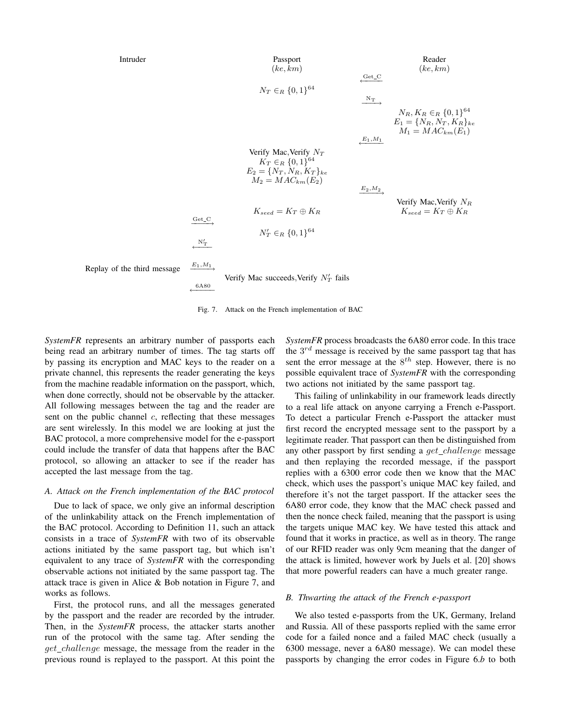

Fig. 7. Attack on the French implementation of BAC

*SystemFR* represents an arbitrary number of passports each being read an arbitrary number of times. The tag starts off by passing its encryption and MAC keys to the reader on a private channel, this represents the reader generating the keys from the machine readable information on the passport, which, when done correctly, should not be observable by the attacker. All following messages between the tag and the reader are sent on the public channel  $c$ , reflecting that these messages are sent wirelessly. In this model we are looking at just the BAC protocol, a more comprehensive model for the e-passport could include the transfer of data that happens after the BAC protocol, so allowing an attacker to see if the reader has accepted the last message from the tag.

#### *A. Attack on the French implementation of the BAC protocol*

Due to lack of space, we only give an informal description of the unlinkability attack on the French implementation of the BAC protocol. According to Definition 11, such an attack consists in a trace of *SystemFR* with two of its observable actions initiated by the same passport tag, but which isn't equivalent to any trace of *SystemFR* with the corresponding observable actions not initiated by the same passport tag. The attack trace is given in Alice & Bob notation in Figure 7, and works as follows.

First, the protocol runs, and all the messages generated by the passport and the reader are recorded by the intruder. Then, in the *SystemFR* process, the attacker starts another run of the protocol with the same tag. After sending the get\_challenge message, the message from the reader in the previous round is replayed to the passport. At this point the

*SystemFR* process broadcasts the 6A80 error code. In this trace the  $3^{rd}$  message is received by the same passport tag that has sent the error message at the  $8^{th}$  step. However, there is no possible equivalent trace of *SystemFR* with the corresponding two actions not initiated by the same passport tag.

This failing of unlinkability in our framework leads directly to a real life attack on anyone carrying a French e-Passport. To detect a particular French e-Passport the attacker must first record the encrypted message sent to the passport by a legitimate reader. That passport can then be distinguished from any other passport by first sending a  $get\_challenge$  message and then replaying the recorded message, if the passport replies with a 6300 error code then we know that the MAC check, which uses the passport's unique MAC key failed, and therefore it's not the target passport. If the attacker sees the 6A80 error code, they know that the MAC check passed and then the nonce check failed, meaning that the passport is using the targets unique MAC key. We have tested this attack and found that it works in practice, as well as in theory. The range of our RFID reader was only 9cm meaning that the danger of the attack is limited, however work by Juels et al. [20] shows that more powerful readers can have a much greater range.

#### *B. Thwarting the attack of the French e-passport*

We also tested e-passports from the UK, Germany, Ireland and Russia. All of these passports replied with the same error code for a failed nonce and a failed MAC check (usually a 6300 message, never a 6A80 message). We can model these passports by changing the error codes in Figure 6.*b* to both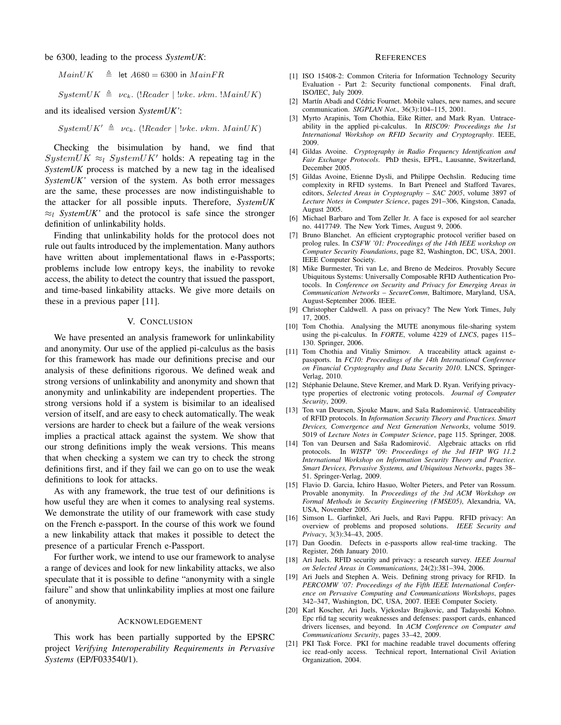be 6300, leading to the process *SystemUK*:

 $MainUK \triangleq$  let  $A680 = 6300$  in  $MainFR$ 

 $SystemUK \triangleq \nu c_k.$  (!Reader | !νke. νkm. !MainUK)

and its idealised version *SystemUK'*:

 $SystemUK' \triangleq \nu c_k$ . (!Reader | !νke. νkm. MainUK)

Checking the bisimulation by hand, we find that SystemUK  $\approx_l$  SystemUK' holds: A repeating tag in the *SystemUK* process is matched by a new tag in the idealised *SystemUK'* version of the system. As both error messages are the same, these processes are now indistinguishable to the attacker for all possible inputs. Therefore, *SystemUK*  $\approx_l$  *SystemUK'* and the protocol is safe since the stronger definition of unlinkability holds.

Finding that unlinkability holds for the protocol does not rule out faults introduced by the implementation. Many authors have written about implementational flaws in e-Passports; problems include low entropy keys, the inability to revoke access, the ability to detect the country that issued the passport, and time-based linkability attacks. We give more details on these in a previous paper [11].

#### V. CONCLUSION

We have presented an analysis framework for unlinkability and anonymity. Our use of the applied pi-calculus as the basis for this framework has made our definitions precise and our analysis of these definitions rigorous. We defined weak and strong versions of unlinkability and anonymity and shown that anonymity and unlinkability are independent properties. The strong versions hold if a system is bisimilar to an idealised version of itself, and are easy to check automatically. The weak versions are harder to check but a failure of the weak versions implies a practical attack against the system. We show that our strong definitions imply the weak versions. This means that when checking a system we can try to check the strong definitions first, and if they fail we can go on to use the weak definitions to look for attacks.

As with any framework, the true test of our definitions is how useful they are when it comes to analysing real systems. We demonstrate the utility of our framework with case study on the French e-passport. In the course of this work we found a new linkability attack that makes it possible to detect the presence of a particular French e-Passport.

For further work, we intend to use our framework to analyse a range of devices and look for new linkability attacks, we also speculate that it is possible to define "anonymity with a single failure" and show that unlinkability implies at most one failure of anonymity.

#### ACKNOWLEDGEMENT

This work has been partially supported by the EPSRC project *Verifying Interoperability Requirements in Pervasive Systems* (EP/F033540/1).

#### **REFERENCES**

- [1] ISO 15408-2: Common Criteria for Information Technology Security Evaluation - Part 2: Security functional components. Final draft, ISO/IEC, July 2009.
- [2] Martín Abadi and Cédric Fournet. Mobile values, new names, and secure communication. *SIGPLAN Not.*, 36(3):104–115, 2001.
- [3] Myrto Arapinis, Tom Chothia, Eike Ritter, and Mark Ryan. Untraceability in the applied pi-calculus. In *RISC09: Proceedings the 1st International Workshop on RFID Security and Cryptography*. IEEE, 2009.
- [4] Gildas Avoine. *Cryptography in Radio Frequency Identification and Fair Exchange Protocols*. PhD thesis, EPFL, Lausanne, Switzerland, December 2005.
- [5] Gildas Avoine, Etienne Dysli, and Philippe Oechslin. Reducing time complexity in RFID systems. In Bart Preneel and Stafford Tavares, editors, *Selected Areas in Cryptography – SAC 2005*, volume 3897 of *Lecture Notes in Computer Science*, pages 291–306, Kingston, Canada, August 2005.
- [6] Michael Barbaro and Tom Zeller Jr. A face is exposed for aol searcher no. 4417749. The New York Times, August 9, 2006.
- [7] Bruno Blanchet. An efficient cryptographic protocol verifier based on prolog rules. In *CSFW '01: Proceedings of the 14th IEEE workshop on Computer Security Foundations*, page 82, Washington, DC, USA, 2001. IEEE Computer Society.
- [8] Mike Burmester, Tri van Le, and Breno de Medeiros. Provably Secure Ubiquitous Systems: Universally Composable RFID Authentication Protocols. In *Conference on Security and Privacy for Emerging Areas in Communication Networks – SecureComm*, Baltimore, Maryland, USA, August-September 2006. IEEE.
- [9] Christopher Caldwell. A pass on privacy? The New York Times, July 17, 2005.
- [10] Tom Chothia. Analysing the MUTE anonymous file-sharing system using the pi-calculus. In *FORTE*, volume 4229 of *LNCS*, pages 115– 130. Springer, 2006.
- [11] Tom Chothia and Vitaliy Smirnov. A traceability attack against epassports. In *FC10: Proceedings of the 14th International Conference on Financial Cryptography and Data Security 2010*. LNCS, Springer-Verlag, 2010.
- [12] Stéphanie Delaune, Steve Kremer, and Mark D. Ryan. Verifying privacytype properties of electronic voting protocols. *Journal of Computer Security*, 2009.
- [13] Ton van Deursen, Sjouke Mauw, and Saša Radomirović. Untraceability of RFID protocols. In *Information Security Theory and Practices. Smart Devices, Convergence and Next Generation Networks*, volume 5019. 5019 of *Lecture Notes in Computer Science*, page 115. Springer, 2008.
- [14] Ton van Deursen and Saša Radomirović. Algebraic attacks on rfid protocols. In *WISTP '09: Proceedings of the 3rd IFIP WG 11.2 International Workshop on Information Security Theory and Practice. Smart Devices, Pervasive Systems, and Ubiquitous Networks*, pages 38– 51. Springer-Verlag, 2009.
- [15] Flavio D. Garcia, Ichiro Hasuo, Wolter Pieters, and Peter van Rossum. Provable anonymity. In *Proceedings of the 3rd ACM Workshop on Formal Methods in Security Engineering (FMSE05)*, Alexandria, VA, USA, November 2005.
- [16] Simson L. Garfinkel, Ari Juels, and Ravi Pappu. RFID privacy: An overview of problems and proposed solutions. *IEEE Security and Privacy*, 3(3):34–43, 2005.
- [17] Dan Goodin. Defects in e-passports allow real-time tracking. The Register, 26th January 2010.
- [18] Ari Juels. RFID security and privacy: a research survey. *IEEE Journal on Selected Areas in Communications*, 24(2):381–394, 2006.
- [19] Ari Juels and Stephen A. Weis. Defining strong privacy for RFID. In *PERCOMW '07: Proceedings of the Fifth IEEE International Conference on Pervasive Computing and Communications Workshops*, pages 342–347, Washington, DC, USA, 2007. IEEE Computer Society.
- [20] Karl Koscher, Ari Juels, Vjekoslav Brajkovic, and Tadayoshi Kohno. Epc rfid tag security weaknesses and defenses: passport cards, enhanced drivers licenses, and beyond. In *ACM Conference on Computer and Communications Security*, pages 33–42, 2009.
- [21] PKI Task Force. PKI for machine readable travel documents offering icc read-only access. Technical report, International Civil Aviation Organization, 2004.